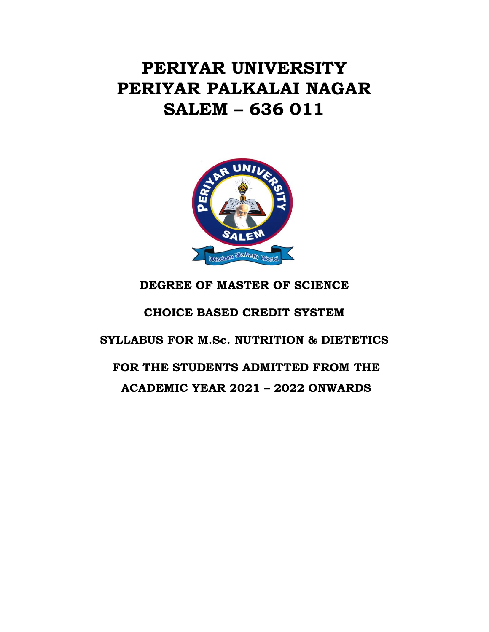# **PERIYAR UNIVERSITY PERIYAR PALKALAI NAGAR SALEM – 636 011**



# **DEGREE OF MASTER OF SCIENCE**

# **CHOICE BASED CREDIT SYSTEM**

# **SYLLABUS FOR M.Sc. NUTRITION & DIETETICS**

# **FOR THE STUDENTS ADMITTED FROM THE ACADEMIC YEAR 2021 – 2022 ONWARDS**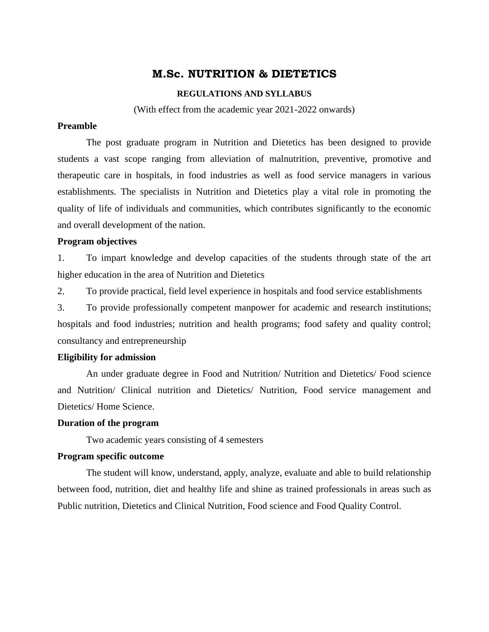# **M.Sc. NUTRITION & DIETETICS**

#### **REGULATIONS AND SYLLABUS**

(With effect from the academic year 2021-2022 onwards)

# **Preamble**

The post graduate program in Nutrition and Dietetics has been designed to provide students a vast scope ranging from alleviation of malnutrition, preventive, promotive and therapeutic care in hospitals, in food industries as well as food service managers in various establishments. The specialists in Nutrition and Dietetics play a vital role in promoting the quality of life of individuals and communities, which contributes significantly to the economic and overall development of the nation.

# **Program objectives**

1. To impart knowledge and develop capacities of the students through state of the art higher education in the area of Nutrition and Dietetics

2. To provide practical, field level experience in hospitals and food service establishments

3. To provide professionally competent manpower for academic and research institutions; hospitals and food industries; nutrition and health programs; food safety and quality control; consultancy and entrepreneurship

# **Eligibility for admission**

An under graduate degree in Food and Nutrition/ Nutrition and Dietetics/ Food science and Nutrition/ Clinical nutrition and Dietetics/ Nutrition, Food service management and Dietetics/ Home Science.

#### **Duration of the program**

Two academic years consisting of 4 semesters

#### **Program specific outcome**

The student will know, understand, apply, analyze, evaluate and able to build relationship between food, nutrition, diet and healthy life and shine as trained professionals in areas such as Public nutrition, Dietetics and Clinical Nutrition, Food science and Food Quality Control.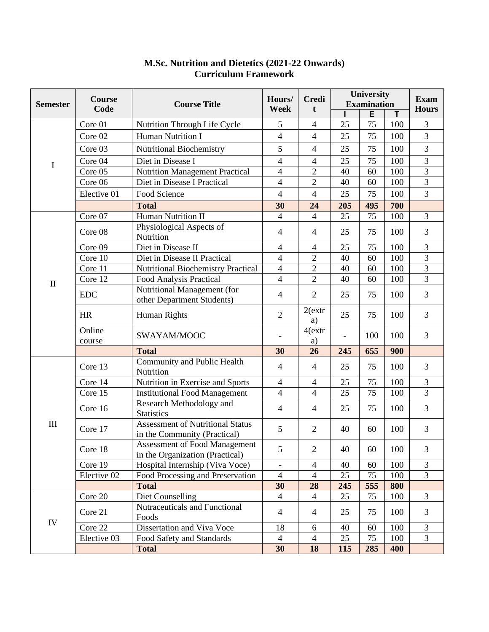|                 | <b>Course</b><br>Code | <b>Course Title</b>                                                     | Hours/<br>Week | <b>Credi</b><br>t        | University         |     | <b>Exam</b> |                |
|-----------------|-----------------------|-------------------------------------------------------------------------|----------------|--------------------------|--------------------|-----|-------------|----------------|
| <b>Semester</b> |                       |                                                                         |                |                          | <b>Examination</b> |     |             | <b>Hours</b>   |
|                 |                       |                                                                         |                |                          |                    | E   | т           |                |
|                 | Core 01               | Nutrition Through Life Cycle                                            | 5              | $\overline{4}$           | 25                 | 75  | 100         | 3              |
|                 | Core 02               | Human Nutrition I                                                       | $\overline{4}$ | $\overline{4}$           | 25                 | 75  | 100         | $\overline{3}$ |
|                 | Core 03               | <b>Nutritional Biochemistry</b>                                         | 5              | 4                        | 25                 | 75  | 100         | 3              |
| $\bf{I}$        | Core 04               | Diet in Disease I                                                       | $\overline{4}$ | $\overline{\mathcal{L}}$ | 25                 | 75  | 100         | 3              |
|                 | Core 05               | <b>Nutrition Management Practical</b>                                   | $\overline{4}$ | $\overline{2}$           | 40                 | 60  | 100         | $\overline{3}$ |
|                 | Core 06               | Diet in Disease I Practical                                             | $\overline{4}$ | $\overline{2}$           | 40                 | 60  | 100         | 3              |
|                 | Elective 01           | Food Science                                                            | $\overline{4}$ | $\overline{4}$           | 25                 | 75  | 100         | 3              |
|                 |                       | <b>Total</b>                                                            | 30             | 24                       | 205                | 495 | 700         |                |
|                 | Core 07               | Human Nutrition II                                                      | $\overline{4}$ | $\overline{4}$           | 25                 | 75  | 100         | 3              |
|                 | Core 08               | Physiological Aspects of<br>Nutrition                                   | $\overline{4}$ | $\overline{4}$           | 25                 | 75  | 100         | 3              |
|                 | Core 09               | Diet in Disease II                                                      | $\overline{4}$ | $\overline{\mathcal{L}}$ | 25                 | 75  | 100         | 3              |
|                 | Core 10               | Diet in Disease II Practical                                            | $\overline{4}$ | $\overline{c}$           | 40                 | 60  | 100         | 3              |
|                 | Core 11               | <b>Nutritional Biochemistry Practical</b>                               | $\overline{4}$ | $\overline{2}$           | 40                 | 60  | 100         | 3              |
| $\mathbf{I}$    | Core 12               | Food Analysis Practical                                                 | $\overline{4}$ | $\overline{2}$           | 40                 | 60  | 100         | $\overline{3}$ |
|                 | <b>EDC</b>            | Nutritional Management (for<br>other Department Students)               | $\overline{4}$ | $\overline{2}$           | 25                 | 75  | 100         | 3              |
|                 | <b>HR</b>             | Human Rights                                                            | $\overline{2}$ | $2$ (extr<br>a)          | 25                 | 75  | 100         | $\overline{3}$ |
|                 | Online<br>course      | SWAYAM/MOOC                                                             |                | $4$ (extr<br>a)          |                    | 100 | 100         | 3              |
|                 |                       | <b>Total</b>                                                            | 30             | 26                       | 245                | 655 | 900         |                |
| III             | Core 13               | Community and Public Health<br>Nutrition                                | $\overline{4}$ | $\overline{4}$           | 25                 | 75  | 100         | 3              |
|                 | Core 14               | Nutrition in Exercise and Sports                                        | $\overline{4}$ | 4                        | 25                 | 75  | 100         | $\mathfrak{Z}$ |
|                 | Core 15               | <b>Institutional Food Management</b>                                    | $\overline{4}$ | $\overline{4}$           | 25                 | 75  | 100         | $\overline{3}$ |
|                 | Core 16               | Research Methodology and<br><b>Statistics</b>                           | $\overline{4}$ | $\overline{4}$           | 25                 | 75  | 100         | 3              |
|                 | Core 17               | <b>Assessment of Nutritional Status</b><br>in the Community (Practical) | 5              | $\overline{2}$           | 40                 | 60  | 100         | 3              |
|                 | Core 18               | <b>Assessment of Food Management</b><br>in the Organization (Practical) | 5              | $\overline{2}$           | 40                 | 60  | 100         | 3              |
|                 | Core 19               | Hospital Internship (Viva Voce)                                         |                | $\overline{4}$           | 40                 | 60  | 100         | 3              |
|                 | Elective 02           | Food Processing and Preservation                                        | $\overline{4}$ | $\overline{4}$           | 25                 | 75  | 100         | $\overline{3}$ |
|                 |                       | <b>Total</b>                                                            | 30             | 28                       | 245                | 555 | 800         |                |
| IV              | Core 20               | Diet Counselling                                                        | $\overline{4}$ | $\overline{4}$           | 25                 | 75  | 100         | $\mathfrak{Z}$ |
|                 | Core 21               | Nutraceuticals and Functional<br>Foods                                  | $\overline{4}$ | $\overline{4}$           | 25                 | 75  | 100         | 3              |
|                 | Core 22               | Dissertation and Viva Voce                                              | 18             | 6                        | 40                 | 60  | 100         | $\mathfrak{Z}$ |
|                 | Elective 03           | Food Safety and Standards                                               | $\overline{4}$ | $\overline{4}$           | 25                 | 75  | 100         | 3              |
|                 |                       | <b>Total</b>                                                            | 30             | 18                       | 115                | 285 | 400         |                |

# **M.Sc. Nutrition and Dietetics (2021-22 Onwards) Curriculum Framework**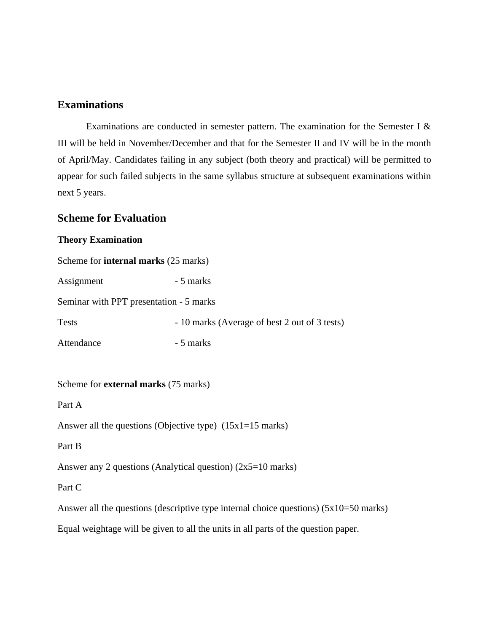# **Examinations**

Examinations are conducted in semester pattern. The examination for the Semester I & III will be held in November/December and that for the Semester II and IV will be in the month of April/May. Candidates failing in any subject (both theory and practical) will be permitted to appear for such failed subjects in the same syllabus structure at subsequent examinations within next 5 years.

# **Scheme for Evaluation**

# **Theory Examination**

| Scheme for <b>internal marks</b> (25 marks) |                                                                                                 |
|---------------------------------------------|-------------------------------------------------------------------------------------------------|
| Assignment                                  | - 5 marks                                                                                       |
| Seminar with PPT presentation - 5 marks     |                                                                                                 |
| <b>Tests</b>                                | - 10 marks (Average of best 2 out of 3 tests)                                                   |
| Attendance                                  | - 5 marks                                                                                       |
|                                             |                                                                                                 |
| Scheme for <b>external marks</b> (75 marks) |                                                                                                 |
| Part A                                      |                                                                                                 |
|                                             | Answer all the questions (Objective type) $(15x1=15 \text{ marks})$                             |
| Part B                                      |                                                                                                 |
|                                             | Answer any 2 questions (Analytical question) $(2x5=10 \text{ marks})$                           |
| Part C                                      |                                                                                                 |
|                                             | Answer all the questions (descriptive type internal choice questions) $(5x10=50 \text{ marks})$ |
|                                             | Equal weightage will be given to all the units in all parts of the question paper.              |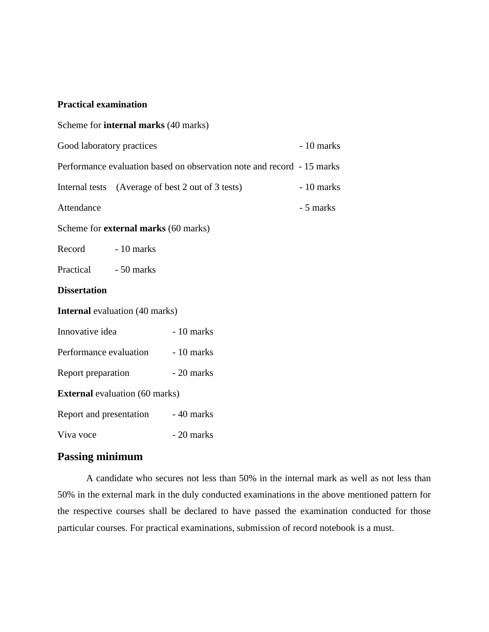#### **Practical examination**

| Scheme for <b>internal marks</b> (40 marks)                            |  |  |  |  |
|------------------------------------------------------------------------|--|--|--|--|
| $-10$ marks                                                            |  |  |  |  |
| Performance evaluation based on observation note and record - 15 marks |  |  |  |  |
| - 10 marks                                                             |  |  |  |  |
| - 5 marks                                                              |  |  |  |  |
|                                                                        |  |  |  |  |
|                                                                        |  |  |  |  |
|                                                                        |  |  |  |  |
|                                                                        |  |  |  |  |
|                                                                        |  |  |  |  |
|                                                                        |  |  |  |  |
|                                                                        |  |  |  |  |
|                                                                        |  |  |  |  |
| <b>External</b> evaluation (60 marks)                                  |  |  |  |  |
|                                                                        |  |  |  |  |
|                                                                        |  |  |  |  |
|                                                                        |  |  |  |  |

# **Passing minimum**

A candidate who secures not less than 50% in the internal mark as well as not less than 50% in the external mark in the duly conducted examinations in the above mentioned pattern for the respective courses shall be declared to have passed the examination conducted for those particular courses. For practical examinations, submission of record notebook is a must.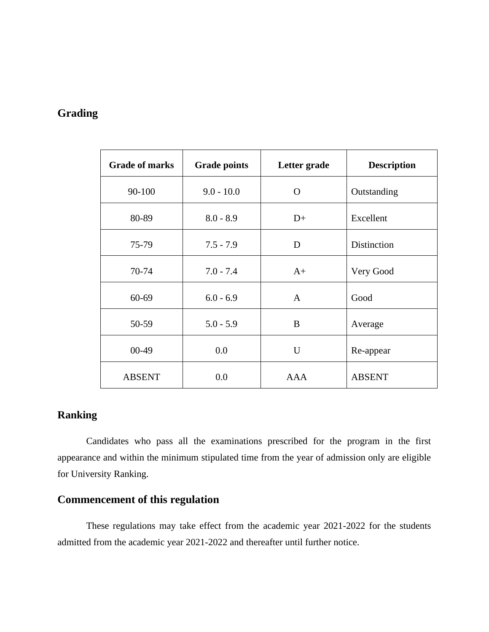# **Grading**

| <b>Grade of marks</b> | <b>Grade points</b> | Letter grade | <b>Description</b> |
|-----------------------|---------------------|--------------|--------------------|
| 90-100                | $9.0 - 10.0$        | O            | Outstanding        |
| 80-89                 | $8.0 - 8.9$         | $D+$         | Excellent          |
| 75-79                 | $7.5 - 7.9$         | D            | <b>Distinction</b> |
| 70-74                 | $7.0 - 7.4$         | $A+$         | Very Good          |
| $60 - 69$             | $6.0 - 6.9$         | A            | Good               |
| 50-59                 | $5.0 - 5.9$         | B            | Average            |
| $00 - 49$             | 0.0                 | U            | Re-appear          |
| <b>ABSENT</b>         | 0.0                 | <b>AAA</b>   | <b>ABSENT</b>      |

# **Ranking**

Candidates who pass all the examinations prescribed for the program in the first appearance and within the minimum stipulated time from the year of admission only are eligible for University Ranking.

# **Commencement of this regulation**

These regulations may take effect from the academic year 2021-2022 for the students admitted from the academic year 2021-2022 and thereafter until further notice.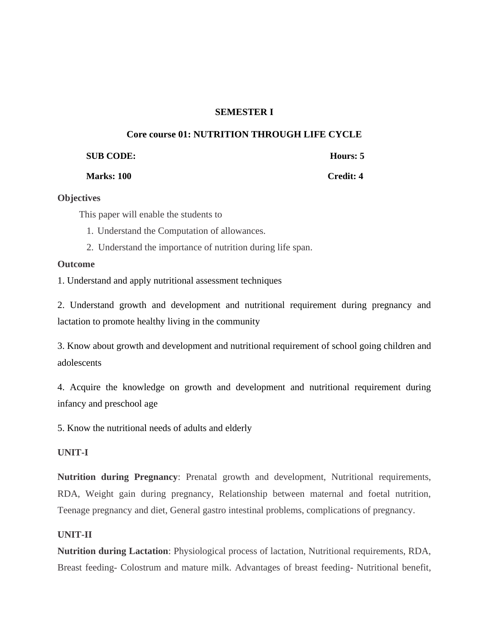# **SEMESTER I**

# **Core course 01: NUTRITION THROUGH LIFE CYCLE**

| <b>SUB CODE:</b> | Hours: 5 |
|------------------|----------|
|                  |          |

**Marks: 100 Credit: 4**

# **Objectives**

This paper will enable the students to

1. Understand the Computation of allowances.

2. Understand the importance of nutrition during life span.

#### **Outcome**

1. Understand and apply nutritional assessment techniques

2. Understand growth and development and nutritional requirement during pregnancy and lactation to promote healthy living in the community

3. Know about growth and development and nutritional requirement of school going children and adolescents

4. Acquire the knowledge on growth and development and nutritional requirement during infancy and preschool age

5. Know the nutritional needs of adults and elderly

# **UNIT-I**

**Nutrition during Pregnancy**: Prenatal growth and development, Nutritional requirements, RDA, Weight gain during pregnancy, Relationship between maternal and foetal nutrition, Teenage pregnancy and diet, General gastro intestinal problems, complications of pregnancy.

# **UNIT-II**

**Nutrition during Lactation**: Physiological process of lactation, Nutritional requirements, RDA, Breast feeding- Colostrum and mature milk. Advantages of breast feeding- Nutritional benefit,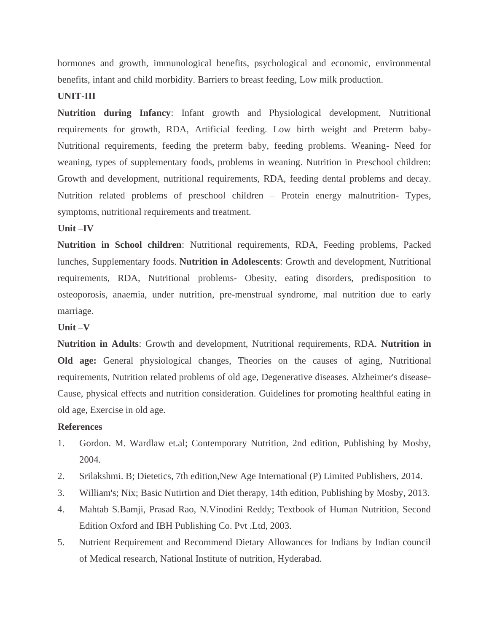hormones and growth, immunological benefits, psychological and economic, environmental benefits, infant and child morbidity. Barriers to breast feeding, Low milk production.

#### **UNIT-III**

**Nutrition during Infancy**: Infant growth and Physiological development, Nutritional requirements for growth, RDA, Artificial feeding. Low birth weight and Preterm baby-Nutritional requirements, feeding the preterm baby, feeding problems. Weaning- Need for weaning, types of supplementary foods, problems in weaning. Nutrition in Preschool children: Growth and development, nutritional requirements, RDA, feeding dental problems and decay. Nutrition related problems of preschool children – Protein energy malnutrition- Types, symptoms, nutritional requirements and treatment.

#### **Unit –IV**

**Nutrition in School children**: Nutritional requirements, RDA, Feeding problems, Packed lunches, Supplementary foods. **Nutrition in Adolescents**: Growth and development, Nutritional requirements, RDA, Nutritional problems- Obesity, eating disorders, predisposition to osteoporosis, anaemia, under nutrition, pre-menstrual syndrome, mal nutrition due to early marriage.

#### **Unit –V**

**Nutrition in Adults**: Growth and development, Nutritional requirements, RDA. **Nutrition in Old age:** General physiological changes, Theories on the causes of aging, Nutritional requirements, Nutrition related problems of old age, Degenerative diseases. Alzheimer's disease-Cause, physical effects and nutrition consideration. Guidelines for promoting healthful eating in old age, Exercise in old age.

#### **References**

- 1. Gordon. M. Wardlaw et.al; Contemporary Nutrition, 2nd edition, Publishing by Mosby, 2004.
- 2. Srilakshmi. B; Dietetics, 7th edition,New Age International (P) Limited Publishers, 2014.
- 3. William's; Nix; Basic Nutirtion and Diet therapy, 14th edition, Publishing by Mosby, 2013.
- 4. Mahtab S.Bamji, Prasad Rao, N.Vinodini Reddy; Textbook of Human Nutrition, Second Edition Oxford and IBH Publishing Co. Pvt .Ltd, 2003.
- 5. Nutrient Requirement and Recommend Dietary Allowances for Indians by Indian council of Medical research, National Institute of nutrition, Hyderabad.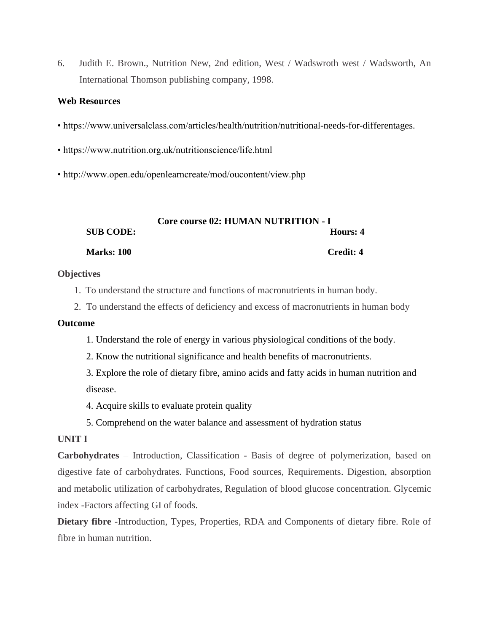6. Judith E. Brown., Nutrition New, 2nd edition, West / Wadswroth west / Wadsworth, An International Thomson publishing company, 1998.

### **Web Resources**

- https://www.universalclass.com/articles/health/nutrition/nutritional-needs-for-differentages.
- https://www.nutrition.org.uk/nutritionscience/life.html
- http://www.open.edu/openlearncreate/mod/oucontent/view.php

|                   | <b>Core course 02: HUMAN NUTRITION - I</b> |
|-------------------|--------------------------------------------|
| <b>SUB CODE:</b>  | Hours: 4                                   |
| <b>Marks: 100</b> | Credit: 4                                  |

#### **Objectives**

- 1. To understand the structure and functions of macronutrients in human body.
- 2. To understand the effects of deficiency and excess of macronutrients in human body

#### **Outcome**

- 1. Understand the role of energy in various physiological conditions of the body.
- 2. Know the nutritional significance and health benefits of macronutrients.
- 3. Explore the role of dietary fibre, amino acids and fatty acids in human nutrition and disease.
- 4. Acquire skills to evaluate protein quality
- 5. Comprehend on the water balance and assessment of hydration status

# **UNIT I**

**Carbohydrates** – Introduction, Classification - Basis of degree of polymerization, based on digestive fate of carbohydrates. Functions, Food sources, Requirements. Digestion, absorption and metabolic utilization of carbohydrates, Regulation of blood glucose concentration. Glycemic index -Factors affecting GI of foods.

**Dietary fibre** -Introduction, Types, Properties, RDA and Components of dietary fibre. Role of fibre in human nutrition.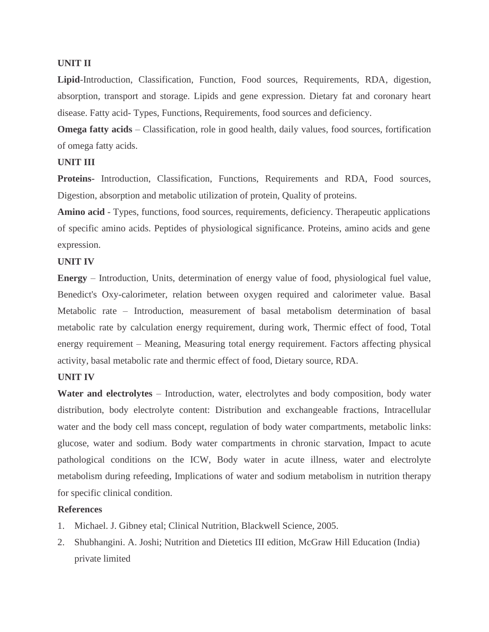#### **UNIT II**

**Lipid**-Introduction, Classification, Function, Food sources, Requirements, RDA, digestion, absorption, transport and storage. Lipids and gene expression. Dietary fat and coronary heart disease. Fatty acid- Types, Functions, Requirements, food sources and deficiency.

**Omega fatty acids** – Classification, role in good health, daily values, food sources, fortification of omega fatty acids.

# **UNIT III**

**Proteins-** Introduction, Classification, Functions, Requirements and RDA, Food sources, Digestion, absorption and metabolic utilization of protein, Quality of proteins.

**Amino acid** - Types, functions, food sources, requirements, deficiency. Therapeutic applications of specific amino acids. Peptides of physiological significance. Proteins, amino acids and gene expression.

#### **UNIT IV**

**Energy** – Introduction, Units, determination of energy value of food, physiological fuel value, Benedict's Oxy-calorimeter, relation between oxygen required and calorimeter value. Basal Metabolic rate – Introduction, measurement of basal metabolism determination of basal metabolic rate by calculation energy requirement, during work, Thermic effect of food, Total energy requirement – Meaning, Measuring total energy requirement. Factors affecting physical activity, basal metabolic rate and thermic effect of food, Dietary source, RDA.

#### **UNIT IV**

**Water and electrolytes** – Introduction, water, electrolytes and body composition, body water distribution, body electrolyte content: Distribution and exchangeable fractions, Intracellular water and the body cell mass concept, regulation of body water compartments, metabolic links: glucose, water and sodium. Body water compartments in chronic starvation, Impact to acute pathological conditions on the ICW, Body water in acute illness, water and electrolyte metabolism during refeeding, Implications of water and sodium metabolism in nutrition therapy for specific clinical condition.

#### **References**

- 1. Michael. J. Gibney etal; Clinical Nutrition, Blackwell Science, 2005.
- 2. Shubhangini. A. Joshi; Nutrition and Dietetics III edition, McGraw Hill Education (India) private limited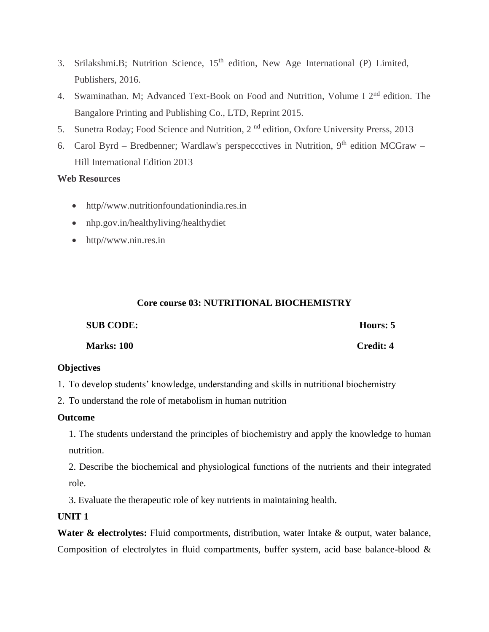- 3. Srilakshmi.B; Nutrition Science, 15<sup>th</sup> edition, New Age International (P) Limited, Publishers, 2016.
- 4. Swaminathan. M; Advanced Text-Book on Food and Nutrition, Volume I 2<sup>nd</sup> edition. The Bangalore Printing and Publishing Co., LTD, Reprint 2015.
- 5. Sunetra Roday; Food Science and Nutrition, 2<sup>nd</sup> edition, Oxfore University Prerss, 2013
- 6. Carol Byrd Bredbenner; Wardlaw's perspeccetives in Nutrition,  $9<sup>th</sup>$  edition MCGraw Hill International Edition 2013

# **Web Resources**

- http//www.nutritionfoundationindia.res.in
- nhp.gov.in/healthyliving/healthydiet
- http//www.nin.res.in

# **Core course 03: NUTRITIONAL BIOCHEMISTRY**

| <b>SUB CODE:</b>  | Hours: 5         |
|-------------------|------------------|
| <b>Marks: 100</b> | <b>Credit: 4</b> |

# **Objectives**

1. To develop students' knowledge, understanding and skills in nutritional biochemistry

2. To understand the role of metabolism in human nutrition

# **Outcome**

1. The students understand the principles of biochemistry and apply the knowledge to human nutrition.

2. Describe the biochemical and physiological functions of the nutrients and their integrated role.

3. Evaluate the therapeutic role of key nutrients in maintaining health.

# **UNIT 1**

**Water & electrolytes:** Fluid comportments, distribution, water Intake & output, water balance, Composition of electrolytes in fluid compartments, buffer system, acid base balance-blood &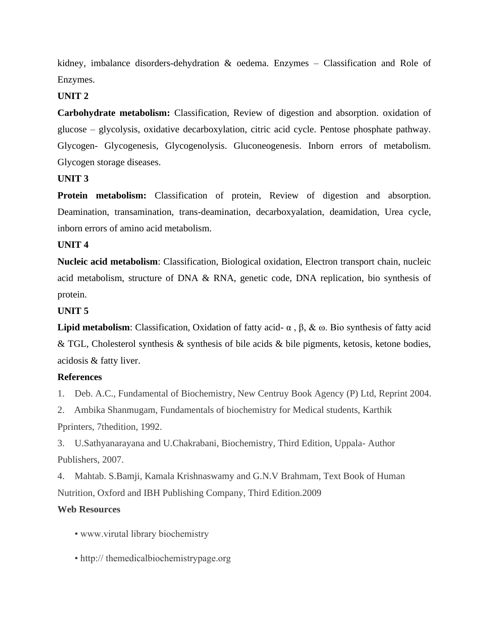kidney, imbalance disorders-dehydration & oedema. Enzymes – Classification and Role of Enzymes.

# **UNIT 2**

**Carbohydrate metabolism:** Classification, Review of digestion and absorption. oxidation of glucose – glycolysis, oxidative decarboxylation, citric acid cycle. Pentose phosphate pathway. Glycogen- Glycogenesis, Glycogenolysis. Gluconeogenesis. Inborn errors of metabolism. Glycogen storage diseases.

# **UNIT 3**

**Protein metabolism:** Classification of protein, Review of digestion and absorption. Deamination, transamination, trans-deamination, decarboxyalation, deamidation, Urea cycle, inborn errors of amino acid metabolism.

# **UNIT 4**

**Nucleic acid metabolism**: Classification, Biological oxidation, Electron transport chain, nucleic acid metabolism, structure of DNA & RNA, genetic code, DNA replication, bio synthesis of protein.

# **UNIT 5**

**Lipid metabolism**: Classification, Oxidation of fatty acid-  $\alpha$ ,  $\beta$ , & ω. Bio synthesis of fatty acid & TGL, Cholesterol synthesis & synthesis of bile acids & bile pigments, ketosis, ketone bodies, acidosis & fatty liver.

# **References**

1. Deb. A.C., Fundamental of Biochemistry, New Centruy Book Agency (P) Ltd, Reprint 2004.

2. Ambika Shanmugam, Fundamentals of biochemistry for Medical students, Karthik Pprinters, 7thedition, 1992.

3. U.Sathyanarayana and U.Chakrabani, Biochemistry, Third Edition, Uppala- Author Publishers, 2007.

4. Mahtab. S.Bamji, Kamala Krishnaswamy and G.N.V Brahmam, Text Book of Human Nutrition, Oxford and IBH Publishing Company, Third Edition.2009

# **Web Resources**

- www.virutal library biochemistry
- http:// themedicalbiochemistrypage.org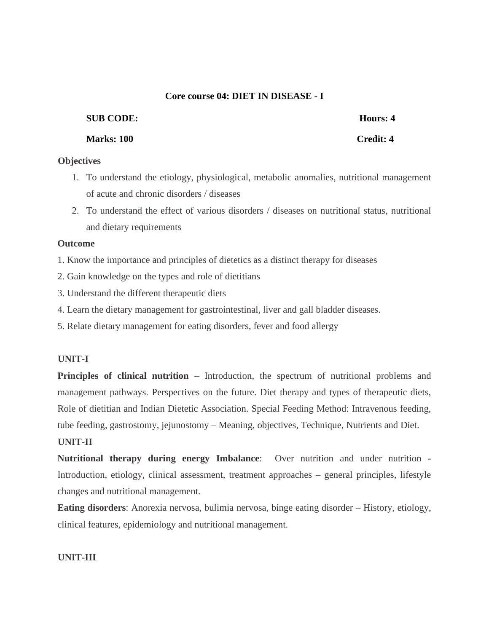# **Core course 04: DIET IN DISEASE - I**

# **SUB CODE: Hours: 4**

**Marks: 100 Credit: 4**

# **Objectives**

- 1. To understand the etiology, physiological, metabolic anomalies, nutritional management of acute and chronic disorders / diseases
- 2. To understand the effect of various disorders / diseases on nutritional status, nutritional and dietary requirements

# **Outcome**

1. Know the importance and principles of dietetics as a distinct therapy for diseases

- 2. Gain knowledge on the types and role of dietitians
- 3. Understand the different therapeutic diets
- 4. Learn the dietary management for gastrointestinal, liver and gall bladder diseases.
- 5. Relate dietary management for eating disorders, fever and food allergy

# **UNIT-I**

**Principles of clinical nutrition** – Introduction, the spectrum of nutritional problems and management pathways. Perspectives on the future. Diet therapy and types of therapeutic diets, Role of dietitian and Indian Dietetic Association. Special Feeding Method: Intravenous feeding, tube feeding, gastrostomy, jejunostomy – Meaning, objectives, Technique, Nutrients and Diet.

# **UNIT-II**

**Nutritional therapy during energy Imbalance**: Over nutrition and under nutrition - Introduction, etiology, clinical assessment, treatment approaches – general principles, lifestyle changes and nutritional management.

**Eating disorders**: Anorexia nervosa, bulimia nervosa, binge eating disorder – History, etiology, clinical features, epidemiology and nutritional management.

# **UNIT-III**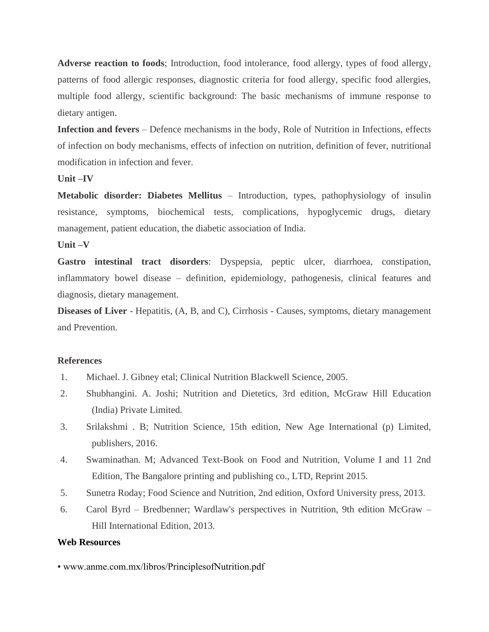**Adverse reaction to foods**; Introduction, food intolerance, food allergy, types of food allergy, patterns of food allergic responses, diagnostic criteria for food allergy, specific food allergies, multiple food allergy, scientific background: The basic mechanisms of immune response to dietary antigen.

**Infection and fevers** – Defence mechanisms in the body, Role of Nutrition in Infections, effects of infection on body mechanisms, effects of infection on nutrition, definition of fever, nutritional modification in infection and fever.

# **Unit –IV**

**Metabolic disorder: Diabetes Mellitus** – Introduction, types, pathophysiology of insulin resistance, symptoms, biochemical tests, complications, hypoglycemic drugs, dietary management, patient education, the diabetic association of India.

**Unit –V**

**Gastro intestinal tract disorders**: Dyspepsia, peptic ulcer, diarrhoea, constipation, inflammatory bowel disease – definition, epidemiology, pathogenesis, clinical features and diagnosis, dietary management.

**Diseases of Liver** - Hepatitis, (A, B, and C), Cirrhosis - Causes, symptoms, dietary management and Prevention.

#### **References**

- 1. Michael. J. Gibney etal; Clinical Nutrition Blackwell Science, 2005.
- 2. Shubhangini. A. Joshi; Nutrition and Dietetics, 3rd edition, McGraw Hill Education (India) Private Limited.
- 3. Srilakshmi . B; Nutrition Science, 15th edition, New Age International (p) Limited, publishers, 2016.
- 4. Swaminathan. M; Advanced Text-Book on Food and Nutrition, Volume I and 11 2nd Edition, The Bangalore printing and publishing co., LTD, Reprint 2015.
- 5. Sunetra Roday; Food Science and Nutrition, 2nd edition, Oxford University press, 2013.
- 6. Carol Byrd Bredbenner; Wardlaw's perspectives in Nutrition, 9th edition McGraw Hill International Edition, 2013.

#### **Web Resources**

• www.anme.com.mx/libros/PrinciplesofNutrition.pdf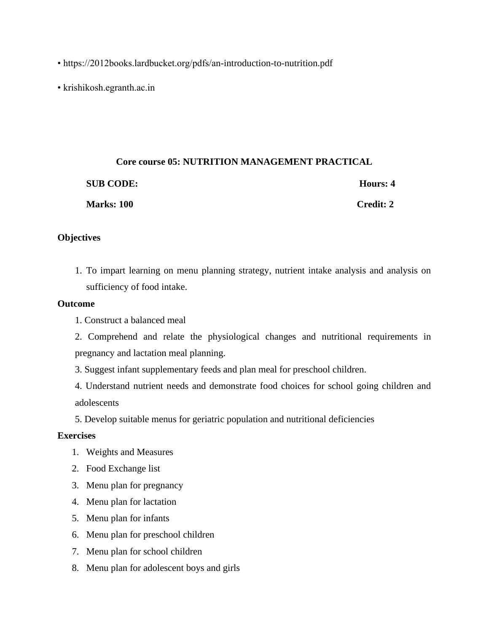- https://2012books.lardbucket.org/pdfs/an-introduction-to-nutrition.pdf
- krishikosh.egranth.ac.in

# **Core course 05: NUTRITION MANAGEMENT PRACTICAL SUB CODE: Hours: 4 Marks: 100 Credit: 2**

### **Objectives**

1. To impart learning on menu planning strategy, nutrient intake analysis and analysis on sufficiency of food intake.

# **Outcome**

- 1. Construct a balanced meal
- 2. Comprehend and relate the physiological changes and nutritional requirements in pregnancy and lactation meal planning.
- 3. Suggest infant supplementary feeds and plan meal for preschool children.
- 4. Understand nutrient needs and demonstrate food choices for school going children and adolescents
- 5. Develop suitable menus for geriatric population and nutritional deficiencies

# **Exercises**

- 1. Weights and Measures
- 2. Food Exchange list
- 3. Menu plan for pregnancy
- 4. Menu plan for lactation
- 5. Menu plan for infants
- 6. Menu plan for preschool children
- 7. Menu plan for school children
- 8. Menu plan for adolescent boys and girls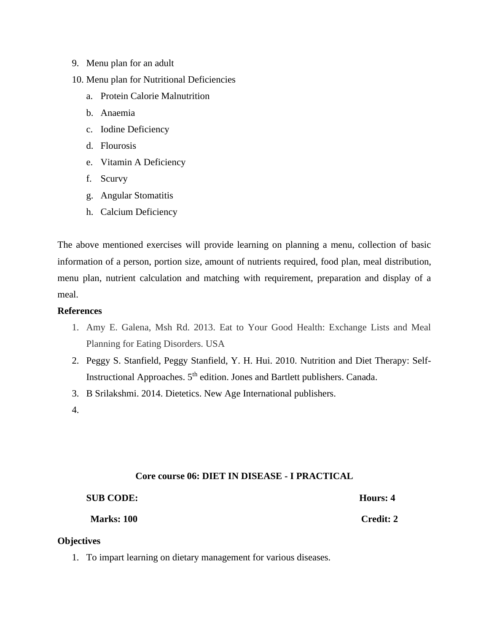- 9. Menu plan for an adult
- 10. Menu plan for Nutritional Deficiencies
	- a. Protein Calorie Malnutrition
	- b. Anaemia
	- c. Iodine Deficiency
	- d. Flourosis
	- e. Vitamin A Deficiency
	- f. Scurvy
	- g. Angular Stomatitis
	- h. Calcium Deficiency

The above mentioned exercises will provide learning on planning a menu, collection of basic information of a person, portion size, amount of nutrients required, food plan, meal distribution, menu plan, nutrient calculation and matching with requirement, preparation and display of a meal.

#### **References**

- 1. Amy E. Galena, Msh Rd. 2013. Eat to Your Good Health: Exchange Lists and Meal Planning for Eating Disorders. USA
- 2. Peggy S. Stanfield, Peggy Stanfield, Y. H. Hui. 2010. Nutrition and Diet Therapy: Self-Instructional Approaches. 5<sup>th</sup> edition. Jones and Bartlett publishers. Canada.
- 3. B Srilakshmi. 2014. Dietetics. New Age International publishers.
- 4.

# **Core course 06: DIET IN DISEASE - I PRACTICAL**

| <b>SUB CODE:</b>  | Hours: 4         |
|-------------------|------------------|
| <b>Marks: 100</b> | <b>Credit: 2</b> |

# **Objectives**

1. To impart learning on dietary management for various diseases.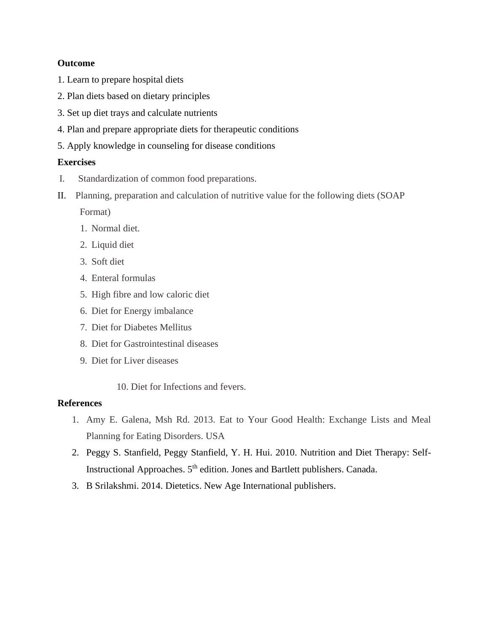# **Outcome**

- 1. Learn to prepare hospital diets
- 2. Plan diets based on dietary principles
- 3. Set up diet trays and calculate nutrients
- 4. Plan and prepare appropriate diets for therapeutic conditions
- 5. Apply knowledge in counseling for disease conditions

# **Exercises**

- I. Standardization of common food preparations.
- II. Planning, preparation and calculation of nutritive value for the following diets (SOAP Format)
	- 1. Normal diet.
	- 2. Liquid diet
	- 3. Soft diet
	- 4. Enteral formulas
	- 5. High fibre and low caloric diet
	- 6. Diet for Energy imbalance
	- 7. Diet for Diabetes Mellitus
	- 8. Diet for Gastrointestinal diseases
	- 9. Diet for Liver diseases
		- 10. Diet for Infections and fevers.

# **References**

- 1. Amy E. Galena, Msh Rd. 2013. Eat to Your Good Health: Exchange Lists and Meal Planning for Eating Disorders. USA
- 2. Peggy S. Stanfield, Peggy Stanfield, Y. H. Hui. 2010. Nutrition and Diet Therapy: Self-Instructional Approaches. 5<sup>th</sup> edition. Jones and Bartlett publishers. Canada.
- 3. B Srilakshmi. 2014. Dietetics. New Age International publishers.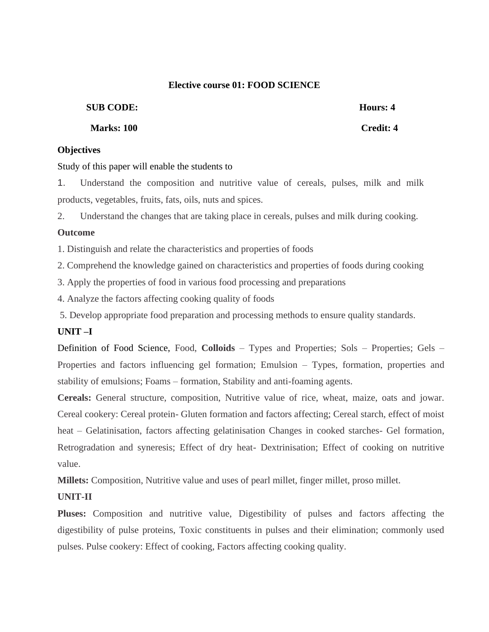### **Elective course 01: FOOD SCIENCE**

### **SUB CODE: Hours: 4**

### **Marks: 100 Credit: 4**

# **Objectives**

#### Study of this paper will enable the students to

1. Understand the composition and nutritive value of cereals, pulses, milk and milk products, vegetables, fruits, fats, oils, nuts and spices.

2. Understand the changes that are taking place in cereals, pulses and milk during cooking.

# **Outcome**

1. Distinguish and relate the characteristics and properties of foods

2. Comprehend the knowledge gained on characteristics and properties of foods during cooking

3. Apply the properties of food in various food processing and preparations

4. Analyze the factors affecting cooking quality of foods

5. Develop appropriate food preparation and processing methods to ensure quality standards.

# **UNIT –I**

Definition of Food Science, Food, **Colloids** – Types and Properties; Sols – Properties; Gels – Properties and factors influencing gel formation; Emulsion – Types, formation, properties and stability of emulsions; Foams – formation, Stability and anti-foaming agents.

**Cereals:** General structure, composition, Nutritive value of rice, wheat, maize, oats and jowar. Cereal cookery: Cereal protein- Gluten formation and factors affecting; Cereal starch, effect of moist heat – Gelatinisation, factors affecting gelatinisation Changes in cooked starches- Gel formation, Retrogradation and syneresis; Effect of dry heat- Dextrinisation; Effect of cooking on nutritive value.

**Millets:** Composition, Nutritive value and uses of pearl millet, finger millet, proso millet.

# **UNIT-II**

**Pluses:** Composition and nutritive value, Digestibility of pulses and factors affecting the digestibility of pulse proteins, Toxic constituents in pulses and their elimination; commonly used pulses. Pulse cookery: Effect of cooking, Factors affecting cooking quality.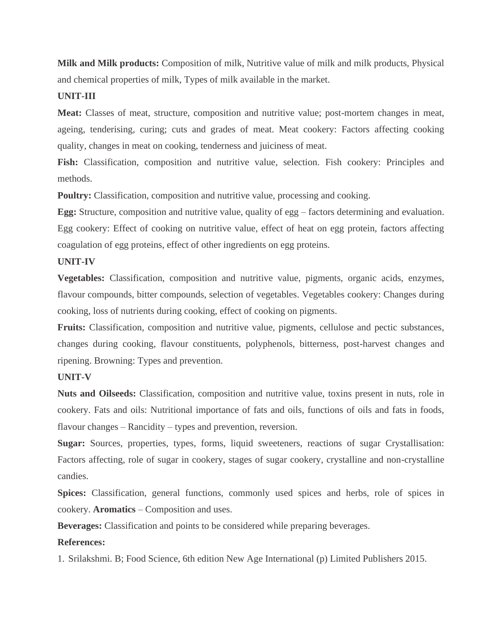**Milk and Milk products:** Composition of milk, Nutritive value of milk and milk products, Physical and chemical properties of milk, Types of milk available in the market.

### **UNIT-III**

**Meat:** Classes of meat, structure, composition and nutritive value; post-mortem changes in meat, ageing, tenderising, curing; cuts and grades of meat. Meat cookery: Factors affecting cooking quality, changes in meat on cooking, tenderness and juiciness of meat.

**Fish:** Classification, composition and nutritive value, selection. Fish cookery: Principles and methods.

**Poultry:** Classification, composition and nutritive value, processing and cooking.

**Egg:** Structure, composition and nutritive value, quality of egg – factors determining and evaluation. Egg cookery: Effect of cooking on nutritive value, effect of heat on egg protein, factors affecting coagulation of egg proteins, effect of other ingredients on egg proteins.

#### **UNIT-IV**

**Vegetables:** Classification, composition and nutritive value, pigments, organic acids, enzymes, flavour compounds, bitter compounds, selection of vegetables. Vegetables cookery: Changes during cooking, loss of nutrients during cooking, effect of cooking on pigments.

**Fruits:** Classification, composition and nutritive value, pigments, cellulose and pectic substances, changes during cooking, flavour constituents, polyphenols, bitterness, post-harvest changes and ripening. Browning: Types and prevention.

#### **UNIT-V**

**Nuts and Oilseeds:** Classification, composition and nutritive value, toxins present in nuts, role in cookery. Fats and oils: Nutritional importance of fats and oils, functions of oils and fats in foods, flavour changes – Rancidity – types and prevention, reversion.

**Sugar:** Sources, properties, types, forms, liquid sweeteners, reactions of sugar Crystallisation: Factors affecting, role of sugar in cookery, stages of sugar cookery, crystalline and non-crystalline candies.

**Spices:** Classification, general functions, commonly used spices and herbs, role of spices in cookery. **Aromatics** – Composition and uses.

**Beverages:** Classification and points to be considered while preparing beverages.

#### **References:**

1. Srilakshmi. B; Food Science, 6th edition New Age International (p) Limited Publishers 2015.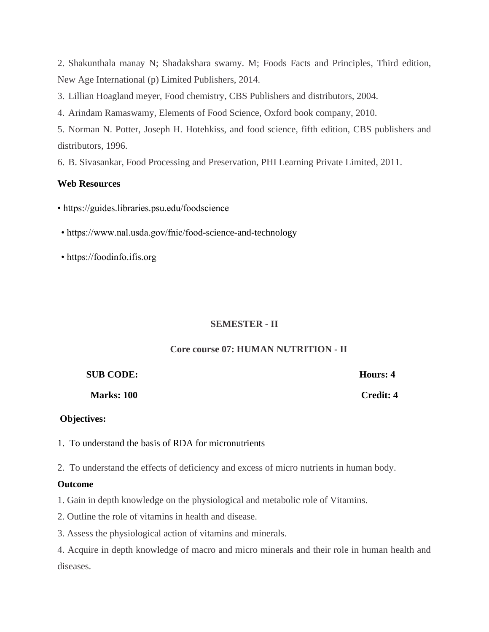2. Shakunthala manay N; Shadakshara swamy. M; Foods Facts and Principles, Third edition, New Age International (p) Limited Publishers, 2014.

3. Lillian Hoagland meyer, Food chemistry, CBS Publishers and distributors, 2004.

4. Arindam Ramaswamy, Elements of Food Science, Oxford book company, 2010.

5. Norman N. Potter, Joseph H. Hotehkiss, and food science, fifth edition, CBS publishers and distributors, 1996.

6. B. Sivasankar, Food Processing and Preservation, PHI Learning Private Limited, 2011.

# **Web Resources**

• https://guides.libraries.psu.edu/foodscience

- https://www.nal.usda.gov/fnic/food-science-and-technology
- https://foodinfo.ifis.org

# **SEMESTER - II**

# **Core course 07: HUMAN NUTRITION - II**

| <b>SUB CODE:</b>  | Hours: 4  |
|-------------------|-----------|
| <b>Marks: 100</b> | Credit: 4 |

# **Objectives:**

- 1. To understand the basis of RDA for micronutrients
- 2. To understand the effects of deficiency and excess of micro nutrients in human body.

# **Outcome**

- 1. Gain in depth knowledge on the physiological and metabolic role of Vitamins.
- 2. Outline the role of vitamins in health and disease.
- 3. Assess the physiological action of vitamins and minerals.

4. Acquire in depth knowledge of macro and micro minerals and their role in human health and diseases.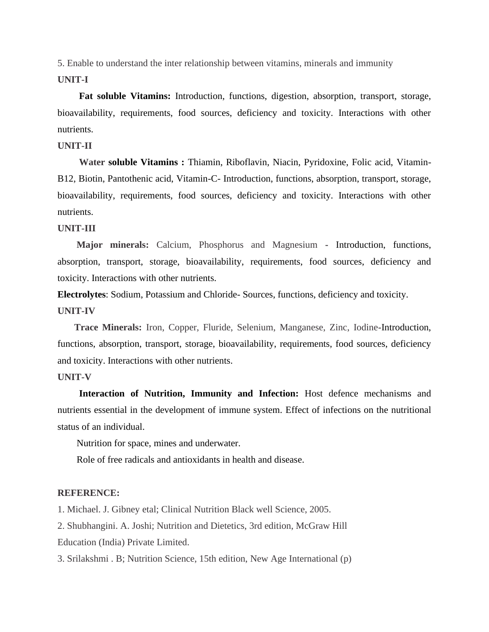5. Enable to understand the inter relationship between vitamins, minerals and immunity

#### **UNIT-I**

 **Fat soluble Vitamins:** Introduction, functions, digestion, absorption, transport, storage, bioavailability, requirements, food sources, deficiency and toxicity. Interactions with other nutrients.

#### **UNIT-II**

 **Water soluble Vitamins :** Thiamin, Riboflavin, Niacin, Pyridoxine, Folic acid, Vitamin-B12, Biotin, Pantothenic acid, Vitamin-C- Introduction, functions, absorption, transport, storage, bioavailability, requirements, food sources, deficiency and toxicity. Interactions with other nutrients.

# **UNIT-III**

 **Major minerals:** Calcium, Phosphorus and Magnesium **-** Introduction, functions, absorption, transport, storage, bioavailability, requirements, food sources, deficiency and toxicity. Interactions with other nutrients.

**Electrolytes**: Sodium, Potassium and Chloride- Sources, functions, deficiency and toxicity. **UNIT-IV**

 **Trace Minerals:** Iron, Copper, Fluride, Selenium, Manganese, Zinc, Iodine**-**Introduction, functions, absorption, transport, storage, bioavailability, requirements, food sources, deficiency and toxicity. Interactions with other nutrients.

#### **UNIT-V**

 **Interaction of Nutrition, Immunity and Infection:** Host defence mechanisms and nutrients essential in the development of immune system. Effect of infections on the nutritional status of an individual.

Nutrition for space, mines and underwater.

Role of free radicals and antioxidants in health and disease.

#### **REFERENCE:**

1. Michael. J. Gibney etal; Clinical Nutrition Black well Science, 2005.

2. Shubhangini. A. Joshi; Nutrition and Dietetics, 3rd edition, McGraw Hill Education (India) Private Limited.

3. Srilakshmi . B; Nutrition Science, 15th edition, New Age International (p)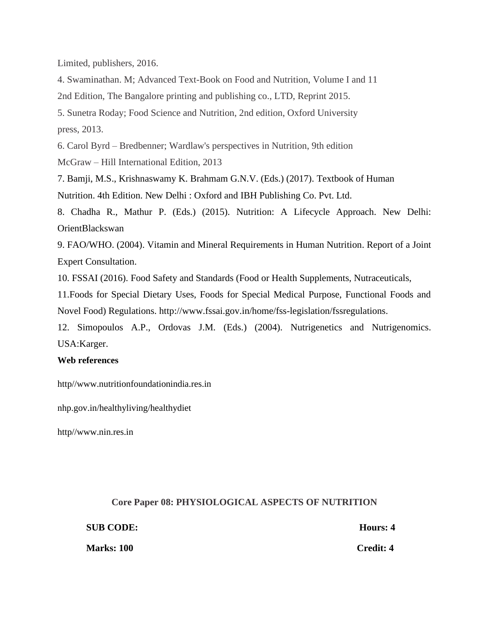Limited, publishers, 2016.

4. Swaminathan. M; Advanced Text-Book on Food and Nutrition, Volume I and 11

2nd Edition, The Bangalore printing and publishing co., LTD, Reprint 2015.

5. Sunetra Roday; Food Science and Nutrition, 2nd edition, Oxford University press, 2013.

6. Carol Byrd – Bredbenner; Wardlaw's perspectives in Nutrition, 9th edition McGraw – Hill International Edition, 2013

7. Bamji, M.S., Krishnaswamy K. Brahmam G.N.V. (Eds.) (2017). Textbook of Human Nutrition. 4th Edition. New Delhi : Oxford and IBH Publishing Co. Pvt. Ltd.

8. Chadha R., Mathur P. (Eds.) (2015). Nutrition: A Lifecycle Approach. New Delhi: OrientBlackswan

9. FAO/WHO. (2004). Vitamin and Mineral Requirements in Human Nutrition. Report of a Joint Expert Consultation.

10. FSSAI (2016). Food Safety and Standards (Food or Health Supplements, Nutraceuticals,

11.Foods for Special Dietary Uses, Foods for Special Medical Purpose, Functional Foods and Novel Food) Regulations. http://www.fssai.gov.in/home/fss-legislation/fssregulations.

12. Simopoulos A.P., Ordovas J.M. (Eds.) (2004). Nutrigenetics and Nutrigenomics. USA:Karger.

# **Web references**

http//www.nutritionfoundationindia.res.in

nhp.gov.in/healthyliving/healthydiet

http//www.nin.res.in

# **Core Paper 08: PHYSIOLOGICAL ASPECTS OF NUTRITION**

| <b>SUB CODE:</b>  | Hours: 4         |
|-------------------|------------------|
| <b>Marks: 100</b> | <b>Credit: 4</b> |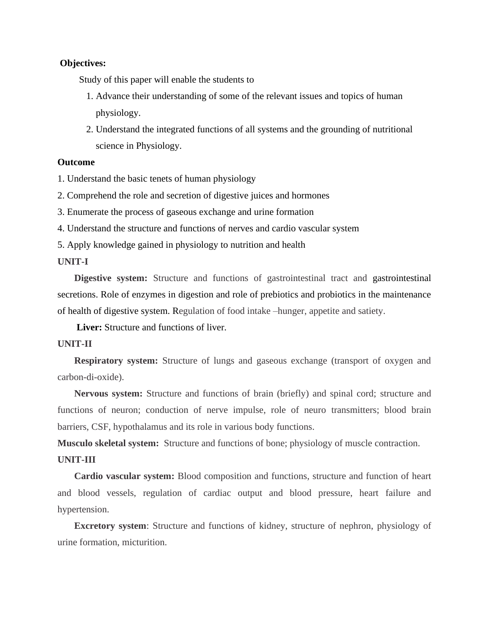#### **Objectives:**

Study of this paper will enable the students to

- 1. Advance their understanding of some of the relevant issues and topics of human physiology.
- 2. Understand the integrated functions of all systems and the grounding of nutritional science in Physiology.

#### **Outcome**

1. Understand the basic tenets of human physiology

2. Comprehend the role and secretion of digestive juices and hormones

3. Enumerate the process of gaseous exchange and urine formation

4. Understand the structure and functions of nerves and cardio vascular system

5. Apply knowledge gained in physiology to nutrition and health

# **UNIT-I**

 **Digestive system:** Structure and functions of gastrointestinal tract and gastrointestinal secretions. Role of enzymes in digestion and role of prebiotics and probiotics in the maintenance of health of digestive system. Regulation of food intake –hunger, appetite and satiety.

**Liver:** Structure and functions of liver.

# **UNIT-II**

**Respiratory system:** Structure of lungs and gaseous exchange (transport of oxygen and carbon-di-oxide).

 **Nervous system:** Structure and functions of brain (briefly) and spinal cord; structure and functions of neuron; conduction of nerve impulse, role of neuro transmitters; blood brain barriers, CSF, hypothalamus and its role in various body functions.

**Musculo skeletal system:** Structure and functions of bone; physiology of muscle contraction.

#### **UNIT-III**

 **Cardio vascular system:** Blood composition and functions, structure and function of heart and blood vessels, regulation of cardiac output and blood pressure, heart failure and hypertension.

 **Excretory system**: Structure and functions of kidney, structure of nephron, physiology of urine formation, micturition.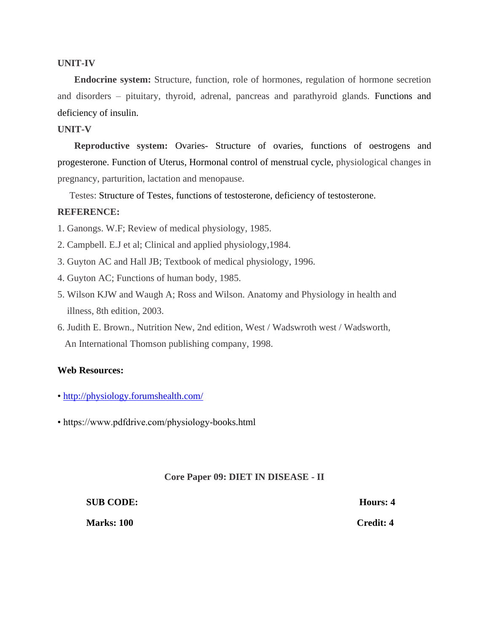#### **UNIT-IV**

 **Endocrine system:** Structure, function, role of hormones, regulation of hormone secretion and disorders – pituitary, thyroid, adrenal, pancreas and parathyroid glands. Functions and deficiency of insulin.

#### **UNIT-V**

 **Reproductive system:** Ovaries- Structure of ovaries, functions of oestrogens and progesterone. Function of Uterus, Hormonal control of menstrual cycle, physiological changes in pregnancy, parturition, lactation and menopause.

Testes: Structure of Testes, functions of testosterone, deficiency of testosterone.

### **REFERENCE:**

- 1. Ganongs. W.F; Review of medical physiology, 1985.
- 2. Campbell. E.J et al; Clinical and applied physiology,1984.
- 3. Guyton AC and Hall JB; Textbook of medical physiology, 1996.
- 4. Guyton AC; Functions of human body, 1985.
- 5. Wilson KJW and Waugh A; Ross and Wilson. Anatomy and Physiology in health and illness, 8th edition, 2003.
- 6. Judith E. Brown., Nutrition New, 2nd edition, West / Wadswroth west / Wadsworth, An International Thomson publishing company, 1998.

#### **Web Resources:**

- •<http://physiology.forumshealth.com/>
- https://www.pdfdrive.com/physiology-books.html

#### **Core Paper 09: DIET IN DISEASE - II**

| <b>SUB CODE:</b>  | Hours: 4         |
|-------------------|------------------|
| <b>Marks: 100</b> | <b>Credit: 4</b> |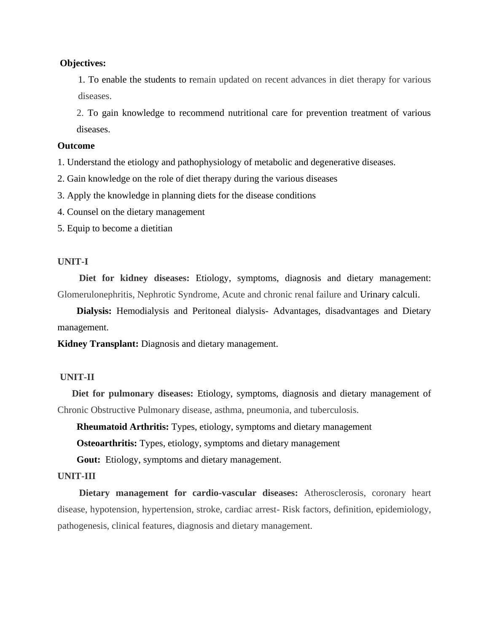#### **Objectives:**

1. To enable the students to remain updated on recent advances in diet therapy for various diseases.

2. To gain knowledge to recommend nutritional care for prevention treatment of various diseases.

#### **Outcome**

1. Understand the etiology and pathophysiology of metabolic and degenerative diseases.

2. Gain knowledge on the role of diet therapy during the various diseases

3. Apply the knowledge in planning diets for the disease conditions

4. Counsel on the dietary management

5. Equip to become a dietitian

#### **UNIT-I**

 **Diet for kidney diseases:** Etiology, symptoms, diagnosis and dietary management: Glomerulonephritis, Nephrotic Syndrome, Acute and chronic renal failure and Urinary calculi.

 **Dialysis:** Hemodialysis and Peritoneal dialysis- Advantages, disadvantages and Dietary management.

**Kidney Transplant:** Diagnosis and dietary management.

# **UNIT-II**

 **Diet for pulmonary diseases:** Etiology, symptoms, diagnosis and dietary management of Chronic Obstructive Pulmonary disease, asthma, pneumonia, and tuberculosis.

 **Rheumatoid Arthritis:** Types, etiology, symptoms and dietary management

**Osteoarthritis:** Types, etiology, symptoms and dietary management

**Gout:** Etiology, symptoms and dietary management.

#### **UNIT-III**

 **Dietary management for cardio-vascular diseases:** Atherosclerosis, coronary heart disease, hypotension, hypertension, stroke, cardiac arrest- Risk factors, definition, epidemiology, pathogenesis, clinical features, diagnosis and dietary management.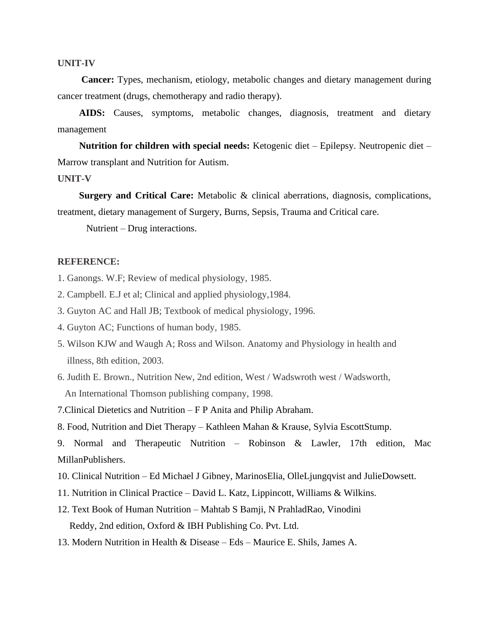#### **UNIT-IV**

 **Cancer:** Types, mechanism, etiology, metabolic changes and dietary management during cancer treatment (drugs, chemotherapy and radio therapy).

 **AIDS:** Causes, symptoms, metabolic changes, diagnosis, treatment and dietary management

 **Nutrition for children with special needs:** Ketogenic diet – Epilepsy. Neutropenic diet – Marrow transplant and Nutrition for Autism.

#### **UNIT-V**

 **Surgery and Critical Care:** Metabolic & clinical aberrations, diagnosis, complications, treatment, dietary management of Surgery, Burns, Sepsis, Trauma and Critical care.

Nutrient – Drug interactions.

#### **REFERENCE:**

1. Ganongs. W.F; Review of medical physiology, 1985.

2. Campbell. E.J et al; Clinical and applied physiology,1984.

- 3. Guyton AC and Hall JB; Textbook of medical physiology, 1996.
- 4. Guyton AC; Functions of human body, 1985.
- 5. Wilson KJW and Waugh A; Ross and Wilson. Anatomy and Physiology in health and illness, 8th edition, 2003.
- 6. Judith E. Brown., Nutrition New, 2nd edition, West / Wadswroth west / Wadsworth, An International Thomson publishing company, 1998.
- 7.Clinical Dietetics and Nutrition F P Anita and Philip Abraham.
- 8. Food, Nutrition and Diet Therapy Kathleen Mahan & Krause, Sylvia EscottStump.

9. Normal and Therapeutic Nutrition – Robinson & Lawler, 17th edition, Mac MillanPublishers.

- 10. Clinical Nutrition Ed Michael J Gibney, MarinosElia, OlleLjungqvist and JulieDowsett.
- 11. Nutrition in Clinical Practice David L. Katz, Lippincott, Williams & Wilkins.
- 12. Text Book of Human Nutrition Mahtab S Bamji, N PrahladRao, Vinodini Reddy, 2nd edition, Oxford & IBH Publishing Co. Pvt. Ltd.
- 13. Modern Nutrition in Health & Disease Eds Maurice E. Shils, James A.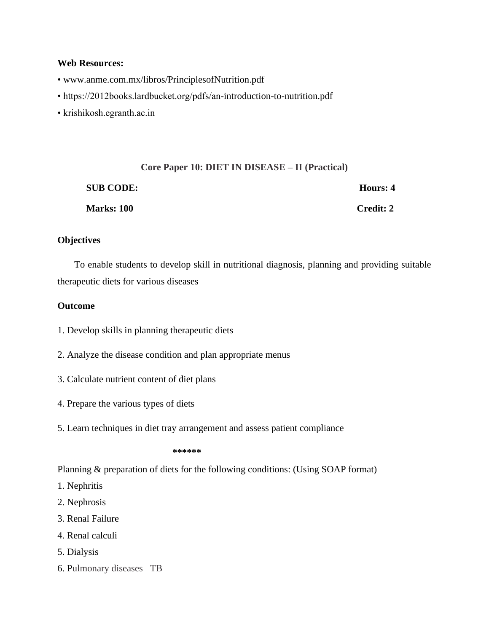#### **Web Resources:**

- www.anme.com.mx/libros/PrinciplesofNutrition.pdf
- https://2012books.lardbucket.org/pdfs/an-introduction-to-nutrition.pdf
- krishikosh.egranth.ac.in

|                  | Core Paper 10: DIET IN DISEASE – II (Practical) |                  |
|------------------|-------------------------------------------------|------------------|
| <b>SUB CODE:</b> |                                                 | Hours: 4         |
| Marks: 100       |                                                 | <b>Credit: 2</b> |

# **Objectives**

 To enable students to develop skill in nutritional diagnosis, planning and providing suitable therapeutic diets for various diseases

# **Outcome**

- 1. Develop skills in planning therapeutic diets
- 2. Analyze the disease condition and plan appropriate menus
- 3. Calculate nutrient content of diet plans
- 4. Prepare the various types of diets
- 5. Learn techniques in diet tray arrangement and assess patient compliance

#### **\*\*\*\*\*\***

Planning & preparation of diets for the following conditions: (Using SOAP format)

- 1. Nephritis
- 2. Nephrosis
- 3. Renal Failure
- 4. Renal calculi
- 5. Dialysis
- 6. Pulmonary diseases –TB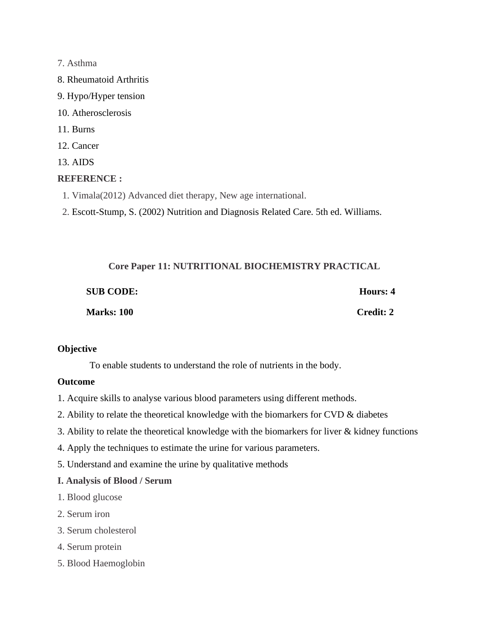#### 7. Asthma

- 8. Rheumatoid Arthritis
- 9. Hypo/Hyper tension
- 10. Atherosclerosis
- 11. Burns
- 12. Cancer
- 13. AIDS

# **REFERENCE :**

- 1. Vimala(2012) Advanced diet therapy, New age international.
- 2. Escott-Stump, S. (2002) Nutrition and Diagnosis Related Care. 5th ed. Williams.

| Core Paper 11: NUTRITIONAL BIOCHEMISTRY PRACTICAL |                  |           |
|---------------------------------------------------|------------------|-----------|
|                                                   | <b>SUB CODE:</b> | Hours: 4  |
|                                                   | Marks: 100       | Credit: 2 |

# **Objective**

To enable students to understand the role of nutrients in the body.

# **Outcome**

- 1. Acquire skills to analyse various blood parameters using different methods.
- 2. Ability to relate the theoretical knowledge with the biomarkers for CVD & diabetes
- 3. Ability to relate the theoretical knowledge with the biomarkers for liver & kidney functions
- 4. Apply the techniques to estimate the urine for various parameters.
- 5. Understand and examine the urine by qualitative methods
- **I. Analysis of Blood / Serum**
- 1. Blood glucose
- 2. Serum iron
- 3. Serum cholesterol
- 4. Serum protein
- 5. Blood Haemoglobin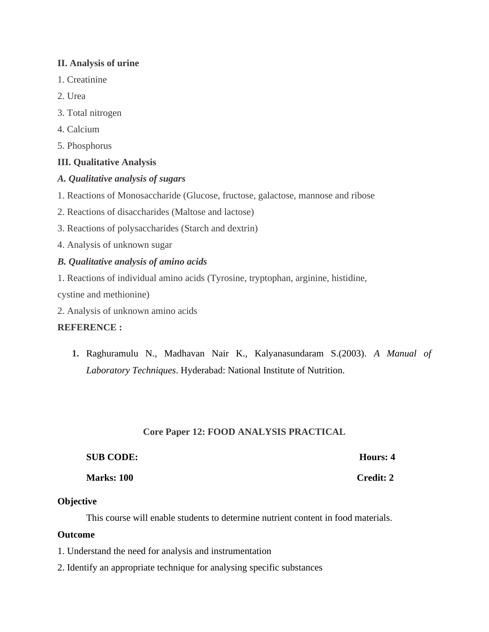# **II. Analysis of urine**

- 1. Creatinine
- 2. Urea
- 3. Total nitrogen
- 4. Calcium
- 5. Phosphorus

# **III. Qualitative Analysis**

# *A. Qualitative analysis of sugars*

- 1. Reactions of Monosaccharide (Glucose, fructose, galactose, mannose and ribose
- 2. Reactions of disaccharides (Maltose and lactose)
- 3. Reactions of polysaccharides (Starch and dextrin)
- 4. Analysis of unknown sugar

# *B. Qualitative analysis of amino acids*

1. Reactions of individual amino acids (Tyrosine, tryptophan, arginine, histidine,

cystine and methionine)

2. Analysis of unknown amino acids

# **REFERENCE :**

**1.** Raghuramulu N., Madhavan Nair K., Kalyanasundaram S.(2003). *A Manual of Laboratory Techniques*. Hyderabad: National Institute of Nutrition.

# **Core Paper 12: FOOD ANALYSIS PRACTICAL**

| <b>SUB CODE:</b>  | Hours: 4         |
|-------------------|------------------|
| <b>Marks: 100</b> | <b>Credit: 2</b> |

# **Objective**

This course will enable students to determine nutrient content in food materials.

# **Outcome**

- 1. Understand the need for analysis and instrumentation
- 2. Identify an appropriate technique for analysing specific substances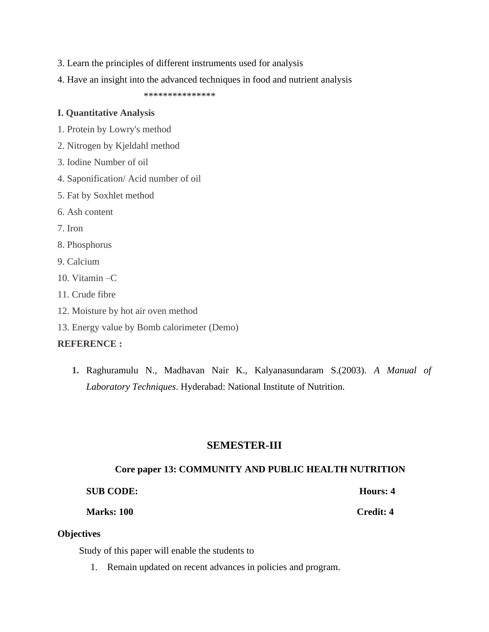- 3. Learn the principles of different instruments used for analysis
- 4. Have an insight into the advanced techniques in food and nutrient analysis

\*\*\*\*\*\*\*\*\*\*\*\*\*\*\*

#### **I. Quantitative Analysis**

- 1. Protein by Lowry's method
- 2. Nitrogen by Kjeldahl method
- 3. Iodine Number of oil
- 4. Saponification/ Acid number of oil
- 5. Fat by Soxhlet method
- 6. Ash content
- 7. Iron
- 8. Phosphorus
- 9. Calcium
- 10. Vitamin –C
- 11. Crude fibre
- 12. Moisture by hot air oven method
- 13. Energy value by Bomb calorimeter (Demo)

#### **REFERENCE :**

**1.** Raghuramulu N., Madhavan Nair K., Kalyanasundaram S.(2003). *A Manual of Laboratory Techniques*. Hyderabad: National Institute of Nutrition.

# **SEMESTER-III**

#### **Core paper 13: COMMUNITY AND PUBLIC HEALTH NUTRITION**

# **SUB CODE: Hours: 4**

**Marks: 100 Credit: 4**

#### **Objectives**

Study of this paper will enable the students to

1. Remain updated on recent advances in policies and program.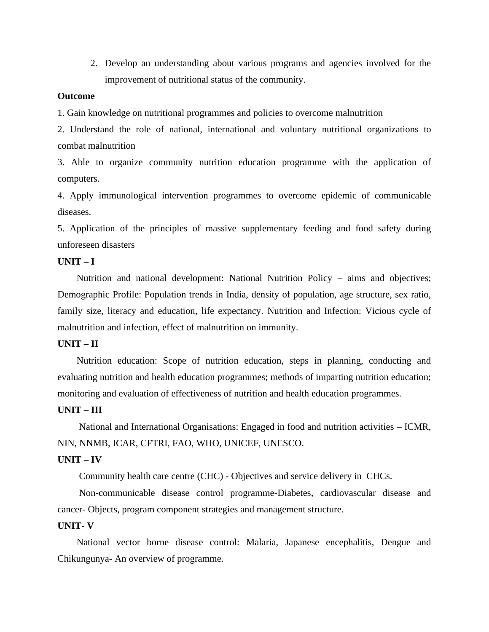2. Develop an understanding about various programs and agencies involved for the improvement of nutritional status of the community.

#### **Outcome**

1. Gain knowledge on nutritional programmes and policies to overcome malnutrition

2. Understand the role of national, international and voluntary nutritional organizations to combat malnutrition

3. Able to organize community nutrition education programme with the application of computers.

4. Apply immunological intervention programmes to overcome epidemic of communicable diseases.

5. Application of the principles of massive supplementary feeding and food safety during unforeseen disasters

#### **UNIT – I**

 Nutrition and national development: National Nutrition Policy – aims and objectives; Demographic Profile: Population trends in India, density of population, age structure, sex ratio, family size, literacy and education, life expectancy. Nutrition and Infection: Vicious cycle of malnutrition and infection, effect of malnutrition on immunity.

#### **UNIT – II**

 Nutrition education: Scope of nutrition education, steps in planning, conducting and evaluating nutrition and health education programmes; methods of imparting nutrition education; monitoring and evaluation of effectiveness of nutrition and health education programmes.

#### **UNIT – III**

National and International Organisations: Engaged in food and nutrition activities – ICMR, NIN, NNMB, ICAR, CFTRI, FAO, WHO, UNICEF, UNESCO.

#### **UNIT – IV**

Community health care centre (CHC) - Objectives and service delivery in CHCs.

 Non-communicable disease control programme-Diabetes, cardiovascular disease and cancer- Objects, program component strategies and management structure.

#### **UNIT- V**

 National vector borne disease control: Malaria, Japanese encephalitis, Dengue and Chikungunya- An overview of programme.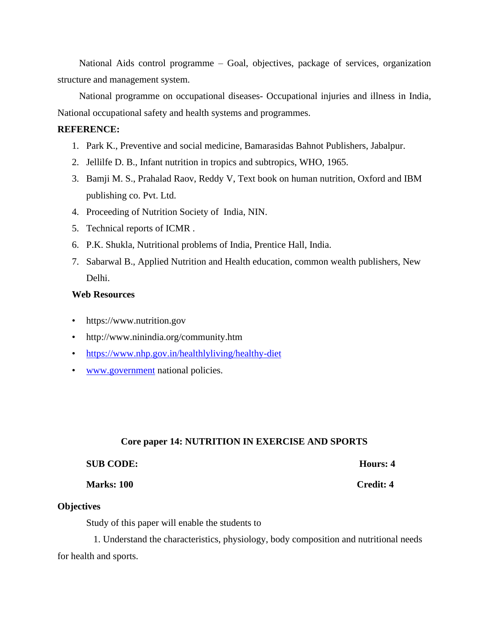National Aids control programme – Goal, objectives, package of services, organization structure and management system.

 National programme on occupational diseases- Occupational injuries and illness in India, National occupational safety and health systems and programmes.

# **REFERENCE:**

- 1. Park K., Preventive and social medicine, Bamarasidas Bahnot Publishers, Jabalpur.
- 2. Jellilfe D. B., Infant nutrition in tropics and subtropics, WHO, 1965.
- 3. Bamji M. S., Prahalad Raov, Reddy V, Text book on human nutrition, Oxford and IBM publishing co. Pvt. Ltd.
- 4. Proceeding of Nutrition Society of India, NIN.
- 5. Technical reports of ICMR .
- 6. P.K. Shukla, Nutritional problems of India, Prentice Hall, India.
- 7. Sabarwal B., Applied Nutrition and Health education, common wealth publishers, New Delhi.

# **Web Resources**

- https://www.nutrition.gov
- http://www.ninindia.org/community.htm
- <https://www.nhp.gov.in/healthlyliving/healthy-diet>
- [www.government](http://www.government/) national policies.

#### **Core paper 14: NUTRITION IN EXERCISE AND SPORTS**

#### **SUB CODE: Hours: 4**

#### **Marks: 100 Credit: 4**

#### **Objectives**

Study of this paper will enable the students to

 1. Understand the characteristics, physiology, body composition and nutritional needs for health and sports.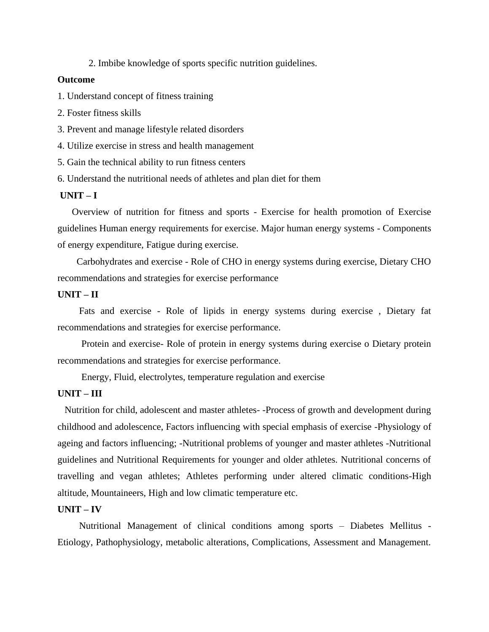2. Imbibe knowledge of sports specific nutrition guidelines.

#### **Outcome**

1. Understand concept of fitness training

- 2. Foster fitness skills
- 3. Prevent and manage lifestyle related disorders
- 4. Utilize exercise in stress and health management
- 5. Gain the technical ability to run fitness centers
- 6. Understand the nutritional needs of athletes and plan diet for them

# **UNIT – I**

 Overview of nutrition for fitness and sports - Exercise for health promotion of Exercise guidelines Human energy requirements for exercise. Major human energy systems - Components of energy expenditure, Fatigue during exercise.

 Carbohydrates and exercise - Role of CHO in energy systems during exercise, Dietary CHO recommendations and strategies for exercise performance

# **UNIT – II**

 Fats and exercise - Role of lipids in energy systems during exercise , Dietary fat recommendations and strategies for exercise performance.

 Protein and exercise- Role of protein in energy systems during exercise o Dietary protein recommendations and strategies for exercise performance.

Energy, Fluid, electrolytes, temperature regulation and exercise

#### **UNIT – III**

Nutrition for child, adolescent and master athletes- -Process of growth and development during childhood and adolescence, Factors influencing with special emphasis of exercise -Physiology of ageing and factors influencing; -Nutritional problems of younger and master athletes -Nutritional guidelines and Nutritional Requirements for younger and older athletes. Nutritional concerns of travelling and vegan athletes; Athletes performing under altered climatic conditions-High altitude, Mountaineers, High and low climatic temperature etc.

#### **UNIT – IV**

Nutritional Management of clinical conditions among sports – Diabetes Mellitus - Etiology, Pathophysiology, metabolic alterations, Complications, Assessment and Management.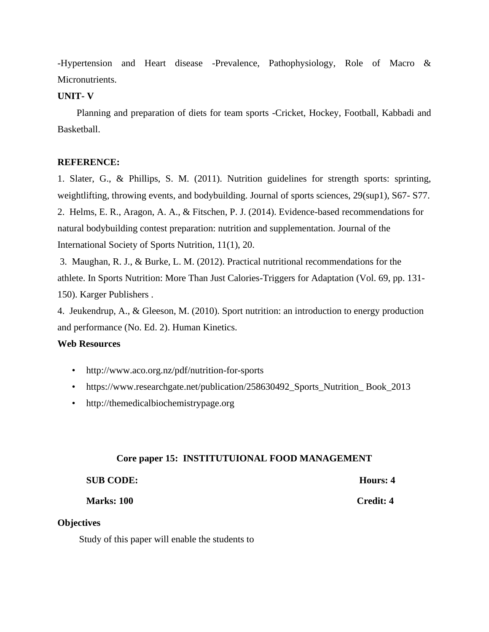-Hypertension and Heart disease -Prevalence, Pathophysiology, Role of Macro & Micronutrients.

# **UNIT- V**

 Planning and preparation of diets for team sports -Cricket, Hockey, Football, Kabbadi and Basketball.

#### **REFERENCE:**

1. Slater, G., & Phillips, S. M. (2011). Nutrition guidelines for strength sports: sprinting, weightlifting, throwing events, and bodybuilding. Journal of sports sciences, 29(sup1), S67- S77. 2. Helms, E. R., Aragon, A. A., & Fitschen, P. J. (2014). Evidence-based recommendations for natural bodybuilding contest preparation: nutrition and supplementation. Journal of the International Society of Sports Nutrition, 11(1), 20.

3. Maughan, R. J., & Burke, L. M. (2012). Practical nutritional recommendations for the athlete. In Sports Nutrition: More Than Just Calories-Triggers for Adaptation (Vol. 69, pp. 131- 150). Karger Publishers .

4. Jeukendrup, A., & Gleeson, M. (2010). Sport nutrition: an introduction to energy production and performance (No. Ed. 2). Human Kinetics.

### **Web Resources**

- http://www.aco.org.nz/pdf/nutrition-for-sports
- https://www.researchgate.net/publication/258630492\_Sports\_Nutrition\_Book\_2013
- http://themedicalbiochemistrypage.org

#### **Core paper 15: INSTITUTUIONAL FOOD MANAGEMENT**

| <b>SUB CODE:</b>  | Hours: 4  |
|-------------------|-----------|
| <b>Marks: 100</b> | Credit: 4 |

#### **Objectives**

Study of this paper will enable the students to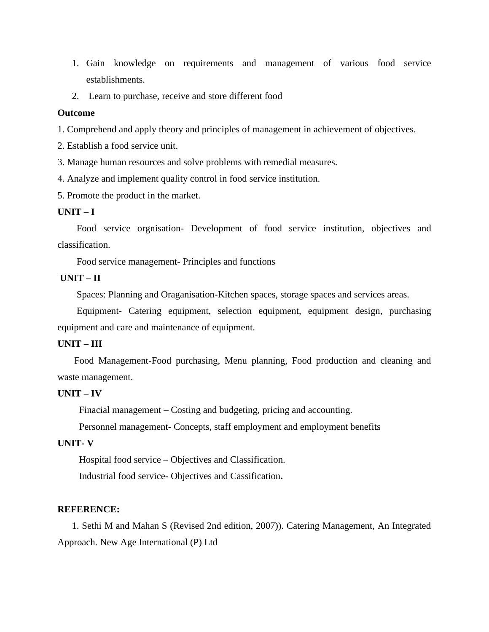- 1. Gain knowledge on requirements and management of various food service establishments.
- 2. Learn to purchase, receive and store different food

#### **Outcome**

1. Comprehend and apply theory and principles of management in achievement of objectives.

2. Establish a food service unit.

3. Manage human resources and solve problems with remedial measures.

4. Analyze and implement quality control in food service institution.

5. Promote the product in the market.

#### **UNIT – I**

 Food service orgnisation- Development of food service institution, objectives and classification.

Food service management- Principles and functions

# **UNIT – II**

Spaces: Planning and Oraganisation-Kitchen spaces, storage spaces and services areas.

 Equipment- Catering equipment, selection equipment, equipment design, purchasing equipment and care and maintenance of equipment.

#### **UNIT – III**

Food Management-Food purchasing, Menu planning, Food production and cleaning and waste management.

#### **UNIT – IV**

Finacial management – Costing and budgeting, pricing and accounting.

Personnel management- Concepts, staff employment and employment benefits

### **UNIT- V**

Hospital food service – Objectives and Classification.

Industrial food service- Objectives and Cassification**.**

#### **REFERENCE:**

 1. Sethi M and Mahan S (Revised 2nd edition, 2007)). Catering Management, An Integrated Approach. New Age International (P) Ltd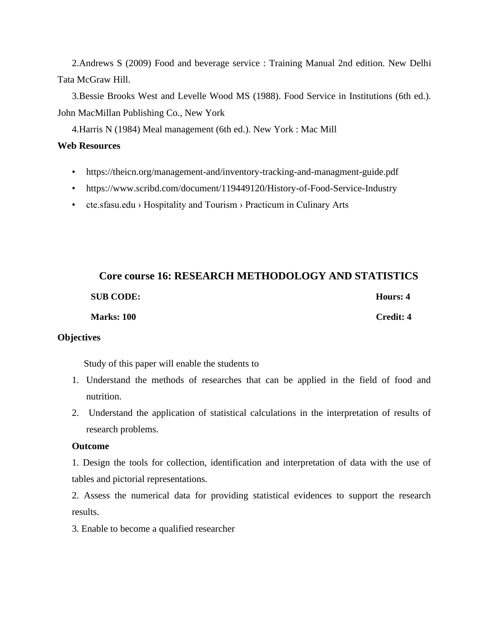2.Andrews S (2009) Food and beverage service : Training Manual 2nd edition. New Delhi Tata McGraw Hill.

 3.Bessie Brooks West and Levelle Wood MS (1988). Food Service in Institutions (6th ed.). John MacMillan Publishing Co., New York

4.Harris N (1984) Meal management (6th ed.). New York : Mac Mill

### **Web Resources**

- https://theicn.org/management-and/inventory-tracking-and-managment-guide.pdf
- https://www.scribd.com/document/119449120/History-of-Food-Service-Industry
- cte.sfasu.edu > Hospitality and Tourism > Practicum in Culinary Arts

# **Core course 16: RESEARCH METHODOLOGY AND STATISTICS SUB CODE:** Hours: 4  **Marks: 100 Credit: 4**

# **Objectives**

Study of this paper will enable the students to

- 1. Understand the methods of researches that can be applied in the field of food and nutrition.
- 2. Understand the application of statistical calculations in the interpretation of results of research problems.

# **Outcome**

1. Design the tools for collection, identification and interpretation of data with the use of tables and pictorial representations.

2. Assess the numerical data for providing statistical evidences to support the research results.

3. Enable to become a qualified researcher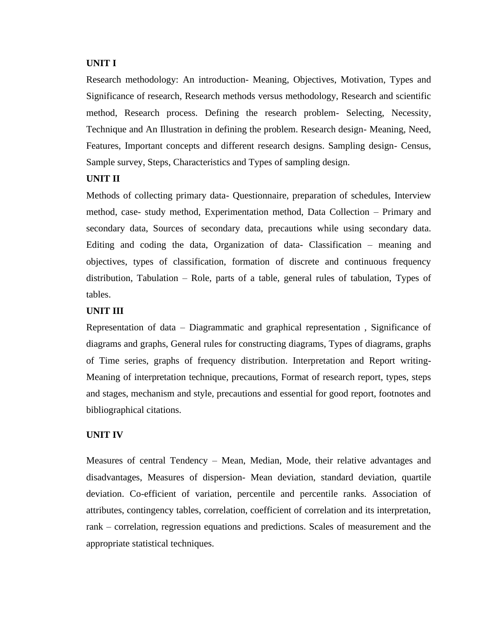#### **UNIT I**

Research methodology: An introduction- Meaning, Objectives, Motivation, Types and Significance of research, Research methods versus methodology, Research and scientific method, Research process. Defining the research problem- Selecting, Necessity, Technique and An Illustration in defining the problem. Research design- Meaning, Need, Features, Important concepts and different research designs. Sampling design- Census, Sample survey, Steps, Characteristics and Types of sampling design.

# **UNIT II**

Methods of collecting primary data- Questionnaire, preparation of schedules, Interview method, case- study method, Experimentation method, Data Collection – Primary and secondary data, Sources of secondary data, precautions while using secondary data. Editing and coding the data, Organization of data- Classification – meaning and objectives, types of classification, formation of discrete and continuous frequency distribution, Tabulation – Role, parts of a table, general rules of tabulation, Types of tables.

# **UNIT III**

Representation of data – Diagrammatic and graphical representation , Significance of diagrams and graphs, General rules for constructing diagrams, Types of diagrams, graphs of Time series, graphs of frequency distribution. Interpretation and Report writing-Meaning of interpretation technique, precautions, Format of research report, types, steps and stages, mechanism and style, precautions and essential for good report, footnotes and bibliographical citations.

# **UNIT IV**

Measures of central Tendency – Mean, Median, Mode, their relative advantages and disadvantages, Measures of dispersion- Mean deviation, standard deviation, quartile deviation. Co-efficient of variation, percentile and percentile ranks. Association of attributes, contingency tables, correlation, coefficient of correlation and its interpretation, rank – correlation, regression equations and predictions. Scales of measurement and the appropriate statistical techniques.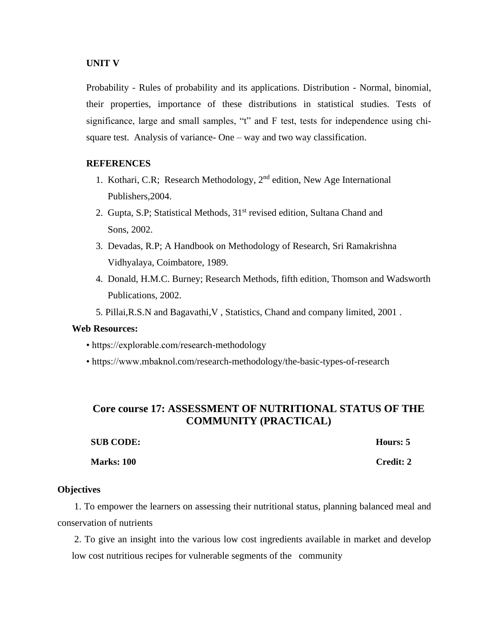#### **UNIT V**

Probability - Rules of probability and its applications. Distribution - Normal, binomial, their properties, importance of these distributions in statistical studies. Tests of significance, large and small samples, "t" and F test, tests for independence using chisquare test. Analysis of variance- One – way and two way classification.

### **REFERENCES**

- 1. Kothari, C.R; Research Methodology,  $2<sup>nd</sup>$  edition, New Age International Publishers,2004.
- 2. Gupta, S.P; Statistical Methods, 31<sup>st</sup> revised edition, Sultana Chand and Sons, 2002.
- 3. Devadas, R.P; A Handbook on Methodology of Research, Sri Ramakrishna Vidhyalaya, Coimbatore, 1989.
- 4. Donald, H.M.C. Burney; Research Methods, fifth edition, Thomson and Wadsworth Publications, 2002.
- 5. Pillai,R.S.N and Bagavathi,V , Statistics, Chand and company limited, 2001 .

# **Web Resources:**

- https://explorable.com/research-methodology
- https://www.mbaknol.com/research-methodology/the-basic-types-of-research

# **Core course 17: ASSESSMENT OF NUTRITIONAL STATUS OF THE COMMUNITY (PRACTICAL)**

| <b>SUB CODE:</b>  | Hours: 5         |
|-------------------|------------------|
| <b>Marks: 100</b> | <b>Credit: 2</b> |

#### **Objectives**

 1. To empower the learners on assessing their nutritional status, planning balanced meal and conservation of nutrients

2. To give an insight into the various low cost ingredients available in market and develop low cost nutritious recipes for vulnerable segments of the community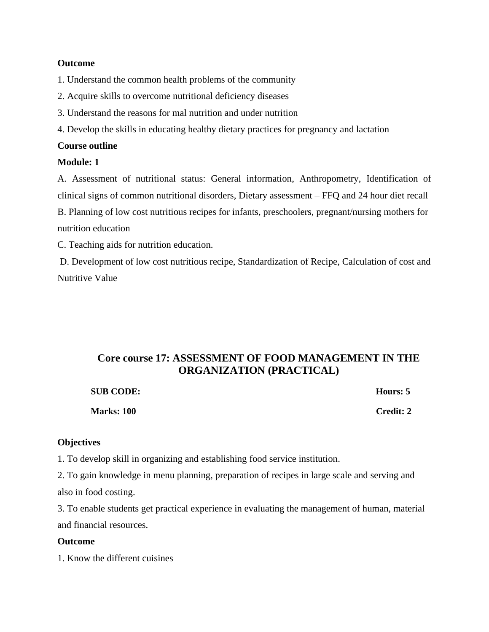#### **Outcome**

1. Understand the common health problems of the community

- 2. Acquire skills to overcome nutritional deficiency diseases
- 3. Understand the reasons for mal nutrition and under nutrition
- 4. Develop the skills in educating healthy dietary practices for pregnancy and lactation

#### **Course outline**

#### **Module: 1**

A. Assessment of nutritional status: General information, Anthropometry, Identification of clinical signs of common nutritional disorders, Dietary assessment – FFQ and 24 hour diet recall B. Planning of low cost nutritious recipes for infants, preschoolers, pregnant/nursing mothers for nutrition education

C. Teaching aids for nutrition education.

D. Development of low cost nutritious recipe, Standardization of Recipe, Calculation of cost and Nutritive Value

# **Core course 17: ASSESSMENT OF FOOD MANAGEMENT IN THE ORGANIZATION (PRACTICAL)**

| <b>SUB CODE:</b>  | Hours: 5  |
|-------------------|-----------|
| <b>Marks: 100</b> | Credit: 2 |

# **Objectives**

1. To develop skill in organizing and establishing food service institution.

2. To gain knowledge in menu planning, preparation of recipes in large scale and serving and also in food costing.

3. To enable students get practical experience in evaluating the management of human, material and financial resources.

#### **Outcome**

1. Know the different cuisines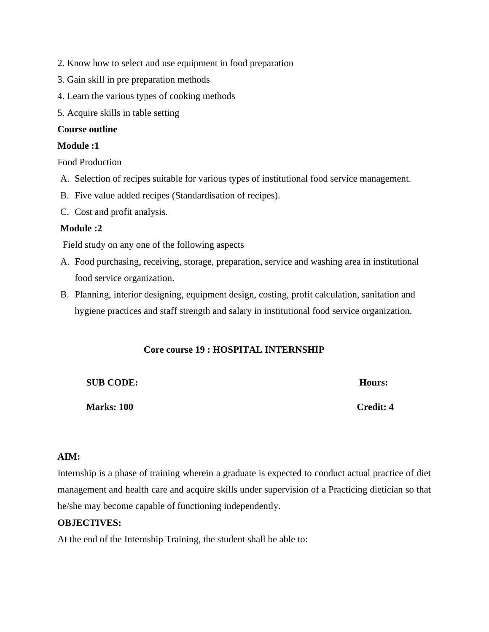- 2. Know how to select and use equipment in food preparation
- 3. Gain skill in pre preparation methods
- 4. Learn the various types of cooking methods
- 5. Acquire skills in table setting

# **Course outline**

# **Module :1**

Food Production

- A. Selection of recipes suitable for various types of institutional food service management.
- B. Five value added recipes (Standardisation of recipes).
- C. Cost and profit analysis.

# **Module :2**

Field study on any one of the following aspects

- A. Food purchasing, receiving, storage, preparation, service and washing area in institutional food service organization.
- B. Planning, interior designing, equipment design, costing, profit calculation, sanitation and hygiene practices and staff strength and salary in institutional food service organization.

# **Core course 19 : HOSPITAL INTERNSHIP**

**SUB CODE: Hours:** 

**Marks: 100 Credit: 4**

# **AIM:**

Internship is a phase of training wherein a graduate is expected to conduct actual practice of diet management and health care and acquire skills under supervision of a Practicing dietician so that he/she may become capable of functioning independently.

# **OBJECTIVES:**

At the end of the Internship Training, the student shall be able to: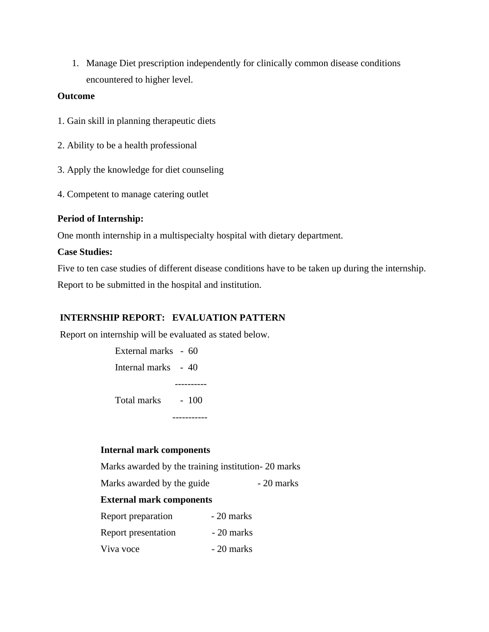1. Manage Diet prescription independently for clinically common disease conditions encountered to higher level.

### **Outcome**

- 1. Gain skill in planning therapeutic diets
- 2. Ability to be a health professional
- 3. Apply the knowledge for diet counseling
- 4. Competent to manage catering outlet

# **Period of Internship:**

One month internship in a multispecialty hospital with dietary department.

# **Case Studies:**

Five to ten case studies of different disease conditions have to be taken up during the internship. Report to be submitted in the hospital and institution.

# **INTERNSHIP REPORT: EVALUATION PATTERN**

Report on internship will be evaluated as stated below.

| Total marks         | $-100$ |
|---------------------|--------|
|                     |        |
| Internal marks - 40 |        |
| External marks - 60 |        |

# **Internal mark components**

Marks awarded by the training institution- 20 marks

Marks awarded by the guide - 20 marks

# **External mark components**

| Report preparation  | $-20$ marks |
|---------------------|-------------|
| Report presentation | - 20 marks  |
| Viva voce           | $-20$ marks |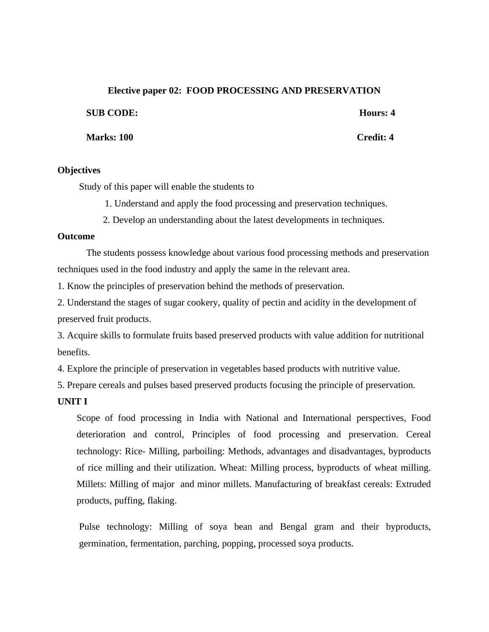#### **Elective paper 02: FOOD PROCESSING AND PRESERVATION**

**SUB CODE: Hours: 4**

**Marks: 100 Credit: 4**

# **Objectives**

Study of this paper will enable the students to

- 1. Understand and apply the food processing and preservation techniques.
- 2. Develop an understanding about the latest developments in techniques.

# **Outcome**

The students possess knowledge about various food processing methods and preservation techniques used in the food industry and apply the same in the relevant area.

1. Know the principles of preservation behind the methods of preservation.

2. Understand the stages of sugar cookery, quality of pectin and acidity in the development of preserved fruit products.

3. Acquire skills to formulate fruits based preserved products with value addition for nutritional benefits.

4. Explore the principle of preservation in vegetables based products with nutritive value.

5. Prepare cereals and pulses based preserved products focusing the principle of preservation.

# **UNIT I**

Scope of food processing in India with National and International perspectives, Food deterioration and control, Principles of food processing and preservation. Cereal technology: Rice- Milling, parboiling: Methods, advantages and disadvantages, byproducts of rice milling and their utilization. Wheat: Milling process, byproducts of wheat milling. Millets: Milling of major and minor millets. Manufacturing of breakfast cereals: Extruded products, puffing, flaking.

Pulse technology: Milling of soya bean and Bengal gram and their byproducts, germination, fermentation, parching, popping, processed soya products.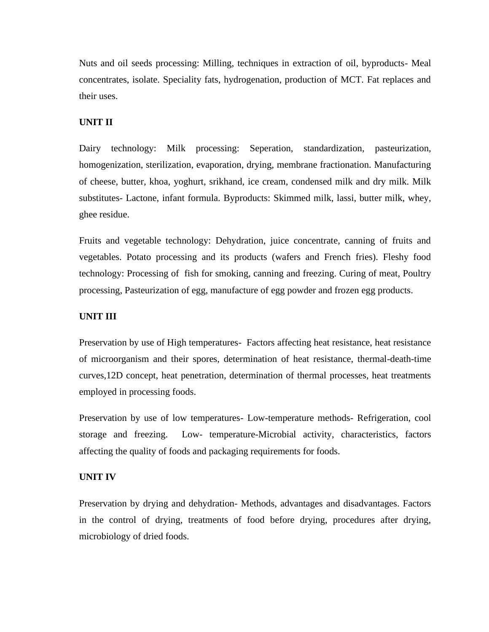Nuts and oil seeds processing: Milling, techniques in extraction of oil, byproducts- Meal concentrates, isolate. Speciality fats, hydrogenation, production of MCT. Fat replaces and their uses.

# **UNIT II**

Dairy technology: Milk processing: Seperation, standardization, pasteurization, homogenization, sterilization, evaporation, drying, membrane fractionation. Manufacturing of cheese, butter, khoa, yoghurt, srikhand, ice cream, condensed milk and dry milk. Milk substitutes- Lactone, infant formula. Byproducts: Skimmed milk, lassi, butter milk, whey, ghee residue.

Fruits and vegetable technology: Dehydration, juice concentrate, canning of fruits and vegetables. Potato processing and its products (wafers and French fries). Fleshy food technology: Processing of fish for smoking, canning and freezing. Curing of meat, Poultry processing, Pasteurization of egg, manufacture of egg powder and frozen egg products.

# **UNIT III**

Preservation by use of High temperatures- Factors affecting heat resistance, heat resistance of microorganism and their spores, determination of heat resistance, thermal-death-time curves,12D concept, heat penetration, determination of thermal processes, heat treatments employed in processing foods.

Preservation by use of low temperatures- Low-temperature methods- Refrigeration, cool storage and freezing. Low- temperature-Microbial activity, characteristics, factors affecting the quality of foods and packaging requirements for foods.

# **UNIT IV**

Preservation by drying and dehydration- Methods, advantages and disadvantages. Factors in the control of drying, treatments of food before drying, procedures after drying, microbiology of dried foods.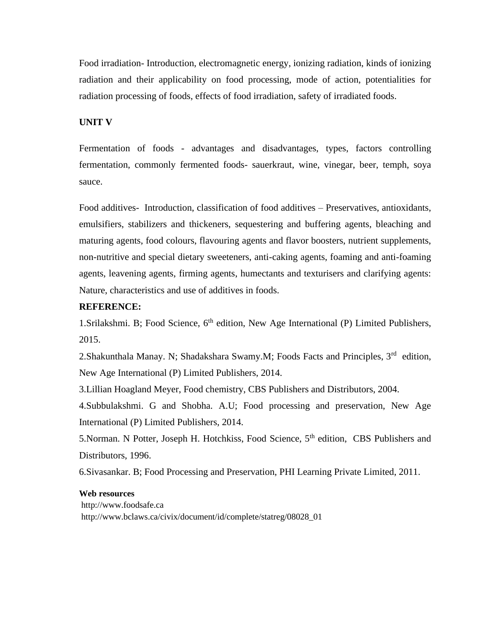Food irradiation- Introduction, electromagnetic energy, ionizing radiation, kinds of ionizing radiation and their applicability on food processing, mode of action, potentialities for radiation processing of foods, effects of food irradiation, safety of irradiated foods.

#### **UNIT V**

Fermentation of foods - advantages and disadvantages, types, factors controlling fermentation, commonly fermented foods- sauerkraut, wine, vinegar, beer, temph, soya sauce.

Food additives- Introduction, classification of food additives – Preservatives, antioxidants, emulsifiers, stabilizers and thickeners, sequestering and buffering agents, bleaching and maturing agents, food colours, flavouring agents and flavor boosters, nutrient supplements, non-nutritive and special dietary sweeteners, anti-caking agents, foaming and anti-foaming agents, leavening agents, firming agents, humectants and texturisers and clarifying agents: Nature, characteristics and use of additives in foods.

# **REFERENCE:**

1. Srilakshmi. B; Food Science, 6<sup>th</sup> edition, New Age International (P) Limited Publishers, 2015.

2. Shakunthala Manay. N; Shadakshara Swamy.M; Foods Facts and Principles, 3<sup>rd</sup> edition, New Age International (P) Limited Publishers, 2014.

3.Lillian Hoagland Meyer, Food chemistry, CBS Publishers and Distributors, 2004.

4.Subbulakshmi. G and Shobha. A.U; Food processing and preservation, New Age International (P) Limited Publishers, 2014.

5.Norman. N Potter, Joseph H. Hotchkiss, Food Science, 5<sup>th</sup> edition, CBS Publishers and Distributors, 1996.

6.Sivasankar. B; Food Processing and Preservation, PHI Learning Private Limited, 2011.

#### **Web resources**

http://www.foodsafe.ca http://www.bclaws.ca/civix/document/id/complete/statreg/08028\_01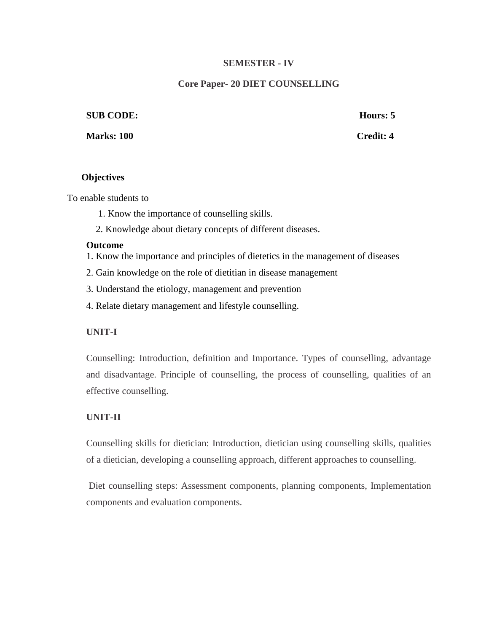# **SEMESTER - IV**

# **Core Paper- 20 DIET COUNSELLING**

#### **SUB CODE: Hours: 5**

**Marks: 100 Credit: 4** 

#### **Objectives**

To enable students to

- 1. Know the importance of counselling skills.
- 2. Knowledge about dietary concepts of different diseases.

#### **Outcome**

- 1. Know the importance and principles of dietetics in the management of diseases
- 2. Gain knowledge on the role of dietitian in disease management
- 3. Understand the etiology, management and prevention
- 4. Relate dietary management and lifestyle counselling.

# **UNIT-I**

Counselling: Introduction, definition and Importance. Types of counselling, advantage and disadvantage. Principle of counselling, the process of counselling, qualities of an effective counselling.

# **UNIT-II**

Counselling skills for dietician: Introduction, dietician using counselling skills, qualities of a dietician, developing a counselling approach, different approaches to counselling.

Diet counselling steps: Assessment components, planning components, Implementation components and evaluation components.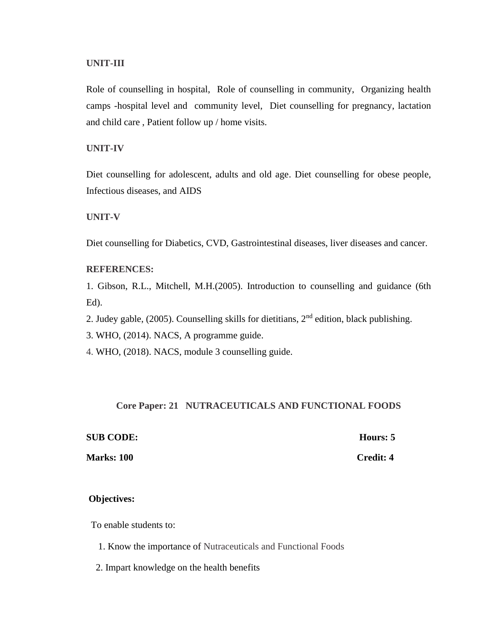#### **UNIT-III**

Role of counselling in hospital, Role of counselling in community, Organizing health camps -hospital level and community level, Diet counselling for pregnancy, lactation and child care , Patient follow up / home visits.

#### **UNIT-IV**

Diet counselling for adolescent, adults and old age. Diet counselling for obese people, Infectious diseases, and AIDS

#### **UNIT-V**

Diet counselling for Diabetics, CVD, Gastrointestinal diseases, liver diseases and cancer.

#### **REFERENCES:**

1. Gibson, R.L., Mitchell, M.H.(2005). Introduction to counselling and guidance (6th Ed).

2. Judey gable,  $(2005)$ . Counselling skills for dietitians,  $2<sup>nd</sup>$  edition, black publishing.

3. WHO, (2014). NACS, A programme guide.

4. WHO, (2018). NACS, module 3 counselling guide.

#### **Core Paper: 21 NUTRACEUTICALS AND FUNCTIONAL FOODS**

#### **SUB CODE: Hours: 5**

# **Marks: 100** Credit: 4

#### **Objectives:**

To enable students to:

- 1. Know the importance of Nutraceuticals and Functional Foods
- 2. Impart knowledge on the health benefits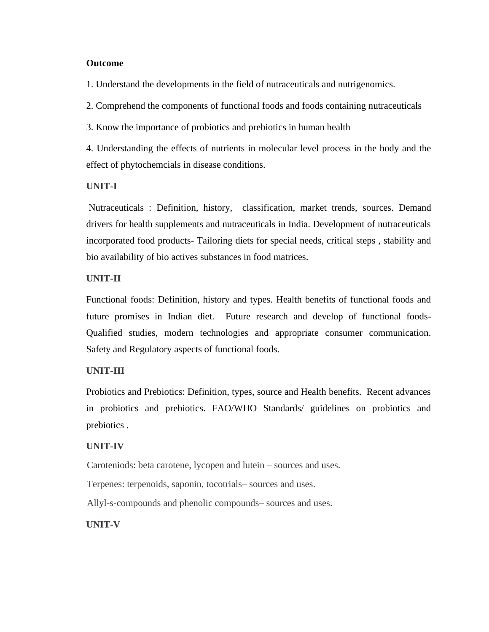#### **Outcome**

1. Understand the developments in the field of nutraceuticals and nutrigenomics.

2. Comprehend the components of functional foods and foods containing nutraceuticals

3. Know the importance of probiotics and prebiotics in human health

4. Understanding the effects of nutrients in molecular level process in the body and the effect of phytochemcials in disease conditions.

# **UNIT-I**

Nutraceuticals : Definition, history, classification, market trends, sources. Demand drivers for health supplements and nutraceuticals in India. Development of nutraceuticals incorporated food products- Tailoring diets for special needs, critical steps , stability and bio availability of bio actives substances in food matrices.

# **UNIT-II**

Functional foods: Definition, history and types. Health benefits of functional foods and future promises in Indian diet. Future research and develop of functional foods-Qualified studies, modern technologies and appropriate consumer communication. Safety and Regulatory aspects of functional foods.

# **UNIT-III**

Probiotics and Prebiotics: Definition, types, source and Health benefits. Recent advances in probiotics and prebiotics. FAO/WHO Standards/ guidelines on probiotics and prebiotics .

# **UNIT-IV**

Caroteniods: beta carotene, lycopen and lutein – sources and uses.

Terpenes: terpenoids, saponin, tocotrials– sources and uses.

Allyl-s-compounds and phenolic compounds– sources and uses.

**UNIT-V**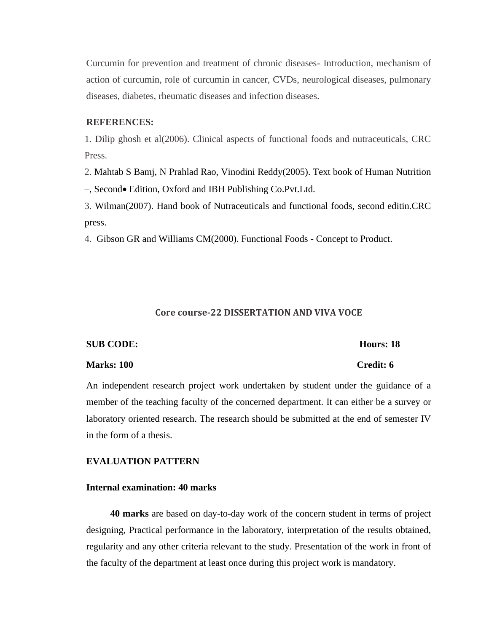Curcumin for prevention and treatment of chronic diseases- Introduction, mechanism of action of curcumin, role of curcumin in cancer, CVDs, neurological diseases, pulmonary diseases, diabetes, rheumatic diseases and infection diseases.

#### **REFERENCES:**

1. Dilip ghosh et al(2006). Clinical aspects of functional foods and nutraceuticals, CRC Press.

2. Mahtab S Bamj, N Prahlad Rao, Vinodini Reddy(2005). Text book of Human Nutrition

–, Second• Edition, Oxford and IBH Publishing Co.Pvt.Ltd.

3. Wilman(2007). Hand book of Nutraceuticals and functional foods, second editin.CRC press.

4. Gibson GR and Williams CM(2000). Functional Foods - Concept to Product.

#### **Core course-22 DISSERTATION AND VIVA VOCE**

#### **SUB CODE: Hours: 18**

#### **Marks: 100 Credit: 6**

An independent research project work undertaken by student under the guidance of a member of the teaching faculty of the concerned department. It can either be a survey or laboratory oriented research. The research should be submitted at the end of semester IV in the form of a thesis.

#### **EVALUATION PATTERN**

# **Internal examination: 40 marks**

 **40 marks** are based on day-to-day work of the concern student in terms of project designing, Practical performance in the laboratory, interpretation of the results obtained, regularity and any other criteria relevant to the study. Presentation of the work in front of the faculty of the department at least once during this project work is mandatory.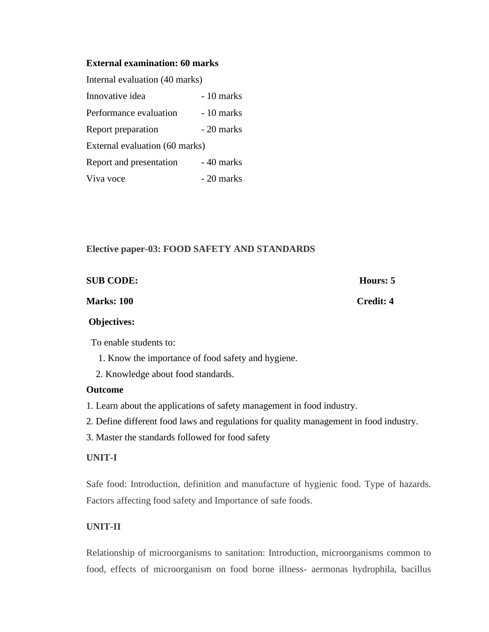## **External examination: 60 marks**

| Internal evaluation (40 marks) |            |  |
|--------------------------------|------------|--|
| Innovative idea                | - 10 marks |  |
| Performance evaluation         | - 10 marks |  |
| Report preparation             | - 20 marks |  |
| External evaluation (60 marks) |            |  |
| Report and presentation        | - 40 marks |  |
| Viva voce                      | - 20 marks |  |

# **Elective paper-03: FOOD SAFETY AND STANDARDS**

| <b>SUB CODE:</b>  | Hours: 5         |
|-------------------|------------------|
| <b>Marks: 100</b> | <b>Credit: 4</b> |

# **Objectives:**

To enable students to:

- 1. Know the importance of food safety and hygiene.
- 2. Knowledge about food standards.

#### **Outcome**

- 1. Learn about the applications of safety management in food industry.
- 2. Define different food laws and regulations for quality management in food industry.
- 3. Master the standards followed for food safety

# **UNIT-I**

Safe food: Introduction, definition and manufacture of hygienic food. Type of hazards. Factors affecting food safety and Importance of safe foods.

# **UNIT-II**

Relationship of microorganisms to sanitation: Introduction, microorganisms common to food, effects of microorganism on food borne illness- aermonas hydrophila, bacillus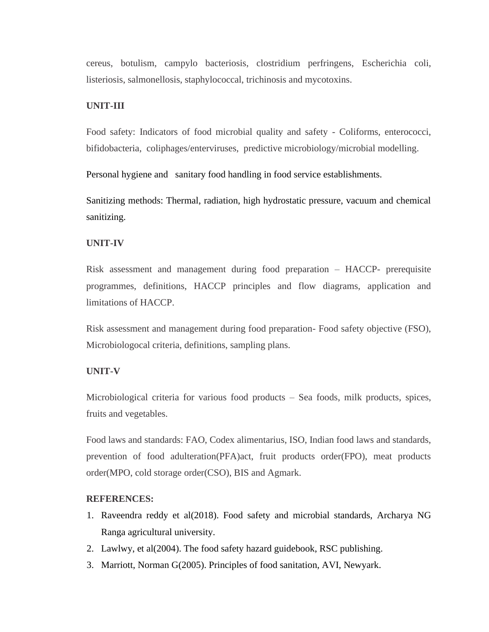cereus, botulism, campylo bacteriosis, clostridium perfringens, Escherichia coli, listeriosis, salmonellosis, staphylococcal, trichinosis and mycotoxins.

#### **UNIT-III**

Food safety: Indicators of food microbial quality and safety - Coliforms, enterococci, bifidobacteria, coliphages/enterviruses, predictive microbiology/microbial modelling.

Personal hygiene and sanitary food handling in food service establishments.

Sanitizing methods: Thermal, radiation, high hydrostatic pressure, vacuum and chemical sanitizing.

#### **UNIT-IV**

Risk assessment and management during food preparation – HACCP- prerequisite programmes, definitions, HACCP principles and flow diagrams, application and limitations of HACCP.

Risk assessment and management during food preparation- Food safety objective (FSO), Microbiologocal criteria, definitions, sampling plans.

#### **UNIT-V**

Microbiological criteria for various food products – Sea foods, milk products, spices, fruits and vegetables.

Food laws and standards: FAO, Codex alimentarius, ISO, Indian food laws and standards, prevention of food adulteration(PFA)act, fruit products order(FPO), meat products order(MPO, cold storage order(CSO), BIS and Agmark.

#### **REFERENCES:**

- 1. Raveendra reddy et al(2018). Food safety and microbial standards, Archarya NG Ranga agricultural university.
- 2. Lawlwy, et al(2004). The food safety hazard guidebook, RSC publishing.
- 3. Marriott, Norman G(2005). Principles of food sanitation, AVI, Newyark.